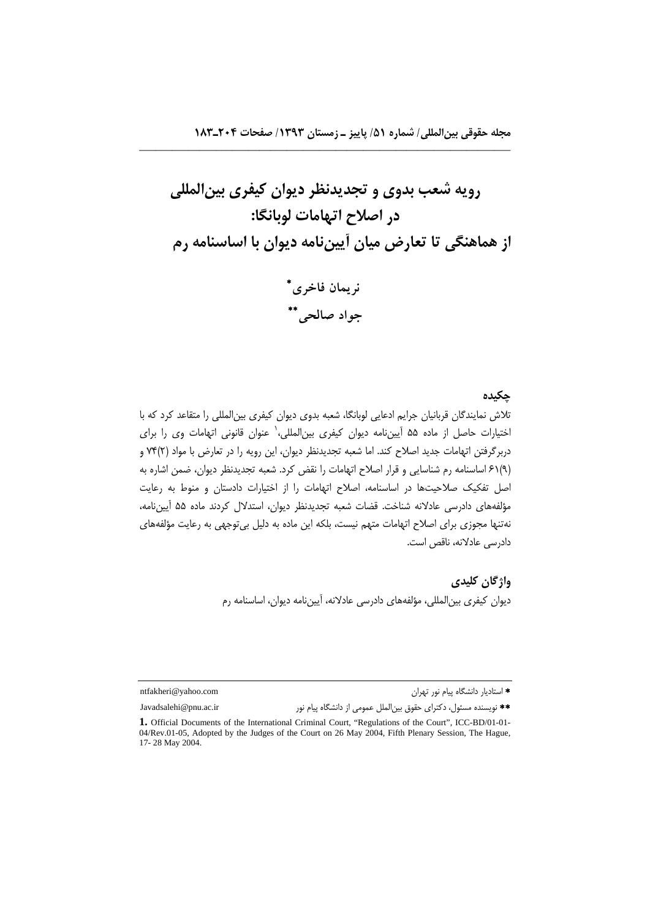\_\_\_\_\_\_\_\_\_\_\_\_\_\_\_\_\_\_\_\_\_\_\_\_\_\_\_\_\_\_\_\_\_\_\_\_\_\_\_\_\_\_\_\_\_\_\_\_\_\_\_\_\_\_\_\_\_\_\_\_\_\_\_\_\_\_\_\_

**رويه شعب بدوي و تجديدنظر ديوان كيفري بينالمللي در اصلاح اتهامات لوبانگا: از هماهنگي تا تعارض ميان آييننامه ديوان با اساسنامه رم نريمان فاخري**

 **جواد صالحي**

## **چكيده**

تلاش نمايندگان قربانيان جرايم ادعايي لوبانگا، شعبه بدوي ديوان كيفري بينالمللي را متقاعد كرد كه با اختيارات حاصل از ماده ۵۵ آيينiامه ديوان كيفرى بينالمللي، عنوان قانوني اتهامات وي را براي دربرگرفتن اتهامات جديد اصلاح كند. اما شعبه تجديدنظر ديوان، اين رويه را در تعارض با مواد (2)74 و (9)61 اساسنامه رم شناسايي و قرار اصلاح اتهامات را نقض كرد. شعبه تجديدنظر ديوان، ضمن اشاره به اصل تفكيك صلاحيتها در اساسنامه، اصلاح اتهامات را از اختيارات دادستان و منوط به رعايت مؤلفههاي دادرسي عادلانه شناخت. قضات شعبه تجديدنظر ديوان، استدلال كردند ماده 55 آييننامه، نهتنها مجوزي براي اصلاح اتهامات متهم نيست، بلكه اين ماده به دليل بيتوجهي به رعايت مؤلفههاي دادرسي عادلانه، ناقص است.

> **واژگان كليدي**  ديوان كيفري بينالمللي، مؤلفههاي دادرسي عادلانه، آييننامه ديوان، اساسنامه رم

استاديار دانشگاه پيام نور تهران com.yahoo@ntfakheri

نويسنده مسئول، دكتراي حقوق بينالملل عمومي از دانشگاه پيام نور ir.ac.pnu@Javadsalehi

17- 28 May 2004.

**<sup>1.</sup>** Official Documents of the International Criminal Court, "Regulations of the Court", ICC-BD/01-01- 04/Rev.01-05, Adopted by the Judges of the Court on 26 May 2004, Fifth Plenary Session, The Hague,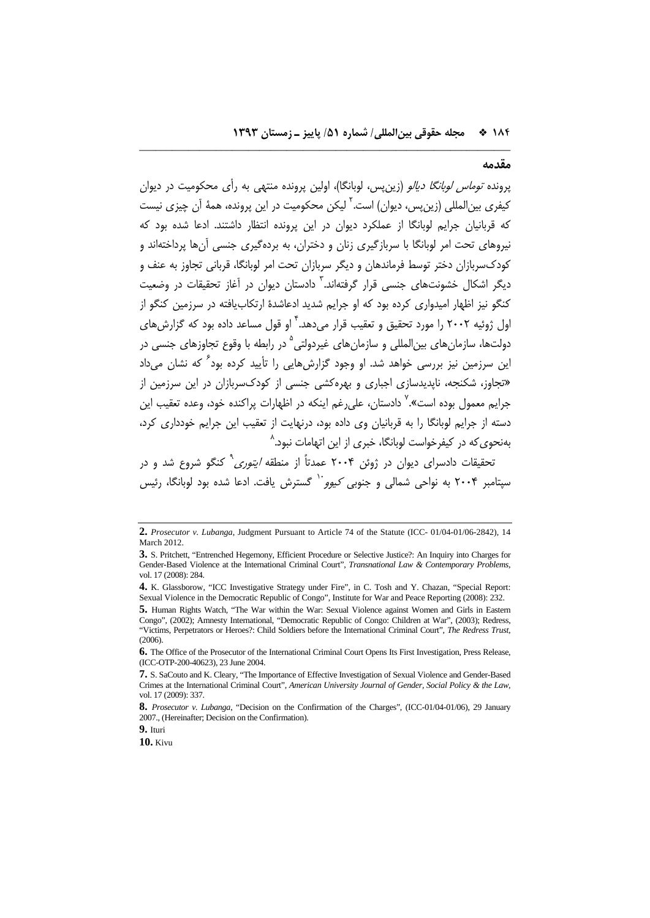#### **مقدمه**

پرونده توماس لوبانگا ديالو (زينپس، لوبانگا)، اولين پرونده منتهي به رأي محكوميت در ديوان كيفري بينالمللي (زين پس، ديوان) است.<sup>۲</sup> ليكن محكوميت در اين پرونده، همهٔ آن چيزي نيست كه قربانيان جرايم لوبانگا از عملكرد ديوان در اين پرونده انتظار داشتند. ادعا شده بود كه نيروهاي تحت امر لوبانگا با سربازگيري زنان و دختران، به بردهگيري جنسي آنها پرداختهاند و كودكسربازان دختر توسط فرماندهان و ديگر سربازان تحت امر لوبانگا، قرباني تجاوز به عنف و ديگر اشكال خشونتهاي حنسي قرار گرفتهاند.<sup>۳</sup> دادستان ديوان در آغاز تحقيقات در وضعيت كنگو نيز اظهار اميدواري كرده بود كه او جرايم شديد ادعاشدة ارتكابيافته در سرزمين كنگو از 'ول ژوئيه ٢٠٠٢ را مورد تحقيق و تعقيب قرار مىدهد.<sup>۲</sup> او قول مساعد داده بود كه گزارشهاى دولتها، سازمان هاي بين المللي و سازمان هاي غيردولتي <sup>۵</sup> در رابطه با وقوع تجاوزهاي جنسي در اين سرزمين نيز بررسي خواهد شد. او وجود گزارش هايي را تأييد كرده بود<sup>۶</sup> كه نشان مرداد «تجاوز، شكنجه، ناپديدسازي اجباري و بهرهكشي جنسي از كودكسربازان در اين سرزمين از حرايم معمول بوده است».<sup>۷</sup> دادستان، علي غم اينكه در اظهارات براكنده خود، وعده تعقيب اين دسته از جرايم لوبانگا را به قربانيان وي داده بود، درنهايت از تعقيب اين جرايم خودداري كرد، بهنحويكه در كيفرخواست لوبانگا، خبري از اين اتهامات نبود. 8

\_\_\_\_\_\_\_\_\_\_\_\_\_\_\_\_\_\_\_\_\_\_\_\_\_\_\_\_\_\_\_\_\_\_\_\_\_\_\_\_\_\_\_\_\_\_\_\_\_\_\_\_\_\_\_\_\_\_\_\_\_\_\_\_\_\_\_\_

نحقيقات دادسراى ديوان در ژوئن ۲۰۰۴ عمدتاً از منطقه *ايتورى*<sup>۹</sup> كنگو شروع شد و در سپتامبر ۲۰۰۴ به نواحی شمالی و جنوبی *کیوو*`` گسترش یافت. ادعا شده بود لوبانگا، رئيس

**10.** Kivu

**<sup>2.</sup>** *Prosecutor v. Lubanga*, Judgment Pursuant to Article 74 of the Statute (ICC- 01/04-01/06-2842), 14 March 2012.

**<sup>3.</sup>** S. Pritchett, "Entrenched Hegemony, Efficient Procedure or Selective Justice?: An Inquiry into Charges for Gender-Based Violence at the International Criminal Court", *Transnational Law & Contemporary Problems*, vol. 17 (2008): 284.

**<sup>4.</sup>** K. Glassborow, "ICC Investigative Strategy under Fire", in C. Tosh and Y. Chazan, "Special Report: Sexual Violence in the Democratic Republic of Congo", Institute for War and Peace Reporting (2008): 232.

**<sup>5.</sup>** Human Rights Watch, "The War within the War: Sexual Violence against Women and Girls in Eastern Congo", (2002); Amnesty International, "Democratic Republic of Congo: Children at War", (2003); Redress, "Victims, Perpetrators or Heroes?: Child Soldiers before the International Criminal Court", *The Redress Trust*, (2006).

**<sup>6.</sup>** The Office of the Prosecutor of the International Criminal Court Opens Its First Investigation, Press Release, (ICC-OTP-200-40623), 23 June 2004.

**<sup>7.</sup>** S. SaCouto and K. Cleary, "The Importance of Effective Investigation of Sexual Violence and Gender-Based Crimes at the International Criminal Court", *American University Journal of Gender, Social Policy & the Law*, vol. 17 (2009): 337.

**<sup>8.</sup>** *Prosecutor v. Lubanga*, "Decision on the Confirmation of the Charges", (ICC-01/04-01/06), 29 January 2007., (Hereinafter; Decision on the Confirmation).

**<sup>9.</sup>** Ituri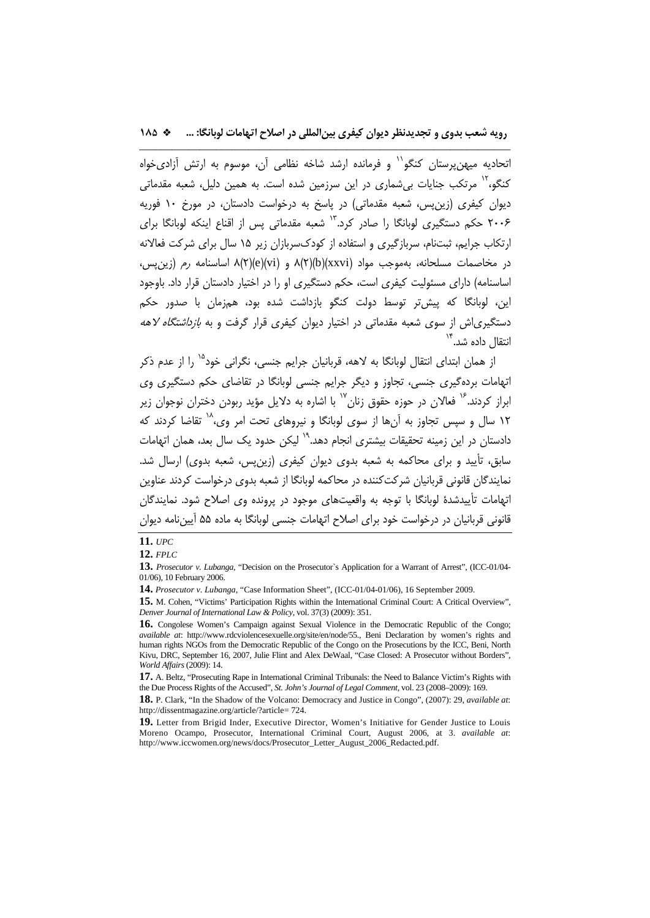اتحاديه ميهن يرستان كنگو<sup>\\</sup> و فرمانده ارشد شاخه نظامي آن، موسوم به ارتش آزاديخواه كنگو،<sup>۱۲</sup> مرتكب جنايات بي شماري در اين سرزمين شده است. به همين دليل، شعبه مقدماتي ديوان كيفري (زينپس، شعبه مقدماتي) در پاسخ به درخواست دادستان، در مورخ 10 فوريه ۲۰۰۶ حكم دستگيري لوبانگا را صادر كرد.<sup>۱۳</sup> شعبه مقدماتي پس از اقناع اينكه لوبانگا براي ارتكاب جرايم، ثبتنام، سربازگيري و استفاده از كودكسربازان زير 15 سال براي شركت فعالانه در مخاصمات مسلحانه، بهموجب مواد (xxvi)(b)(2(8 و (vi)(e)(2(8 اساسنامه رم (زينپس، اساسنامه) داراي مسئوليت كيفري است، حكم دستگيري او را در اختيار دادستان قرار داد. باوجود اين، لوبانگا كه پيشتر توسط دولت كنگو بازداشت شده بود، همزمان با صدور حكم دستگيرياش از سوي شعبه مقدماتي در اختيار ديوان كيفري قرار گرفت و به بازداشتگاه لاهه انتقال داده شد.<sup>۱۴</sup>

از همان ابتداي انتقال لوبانگا به لاهه، قربانيان جرايم جنسي، نگراني خود<sup>۱۵</sup> را از عدم ذكر اتهامات بردهگيري جنسي، تجاوز و ديگر جرايم جنسي لوبانگا در تقاضاي حكم دستگيري وي 'براز كردند.<sup>۱۶</sup> فعالان در حوزه حقوق زنان<sup>۱۷</sup> با اشاره به دلایل مؤید ربودن دختران نوجوان زیر ۱۲ سال و سپس تجاوز به آنها از سوي لوبانگا و نيروهاي تحت امر وي،<sup>۱۸</sup> تقاضا كردند كه دادستان در اين زمينه تحقيقات بيشتري انجام دهد.<sup>١٩</sup> ليكن حدود يك سال بعد، همان اتهامات سابق، تأييد و براي محاكمه به شعبه بدوي ديوان كيفري (زينپس، شعبه بدوي) ارسال شد. نمايندگان قانوني قربانيان شركتكننده در محاكمه لوبانگا از شعبه بدوي درخواست كردند عناوين اتهامات تأييدشدة لوبانگا با توجه به واقعيتهاي موجود در پرونده وي اصلاح شود. نمايندگان قانوني قربانيان در درخواست خود براي اصلاح اتهامات جنسي لوبانگا به ماده 55 آييننامه ديوان

**<sup>11.</sup>** *UPC*

**<sup>12.</sup>** *FPLC*

**<sup>13.</sup>** *Prosecutor v. Lubanga*, "Decision on the Prosecutor`s Application for a Warrant of Arrest", (ICC-01/04- 01/06), 10 February 2006.

**<sup>14.</sup>** *Prosecutor v. Lubanga*, "Case Information Sheet", (ICC-01/04-01/06), 16 September 2009.

**<sup>15.</sup>** M. Cohen, "Victims' Participation Rights within the International Criminal Court: A Critical Overview", *Denver Journal of International Law & Policy*, vol. 37(3) (2009): 351.

**<sup>16.</sup>** Congolese Women's Campaign against Sexual Violence in the Democratic Republic of the Congo; *available at*: http://www.rdcviolencesexuelle.org/site/en/node/55., Beni Declaration by women's rights and human rights NGOs from the Democratic Republic of the Congo on the Prosecutions by the ICC, Beni, North Kivu, DRC, September 16, 2007, Julie Flint and Alex DeWaal, "Case Closed: A Prosecutor without Borders", *World Affairs* (2009): 14.

**<sup>17.</sup>** A. Beltz, "Prosecuting Rape in International Criminal Tribunals: the Need to Balance Victim's Rights with the Due Process Rights of the Accused", *St. John's Journal of Legal Comment*, vol. 23 (2008–2009): 169.

**<sup>18.</sup>** P. Clark, "In the Shadow of the Volcano: Democracy and Justice in Congo", (2007): 29, *available at*: http://dissentmagazine.org/article/?article= 724.

**<sup>19.</sup>** Letter from Brigid Inder, Executive Director, Women's Initiative for Gender Justice to Louis Moreno Ocampo, Prosecutor, International Criminal Court, August 2006, at 3. *available at*: http://www.iccwomen.org/news/docs/Prosecutor\_Letter\_August\_2006\_Redacted.pdf.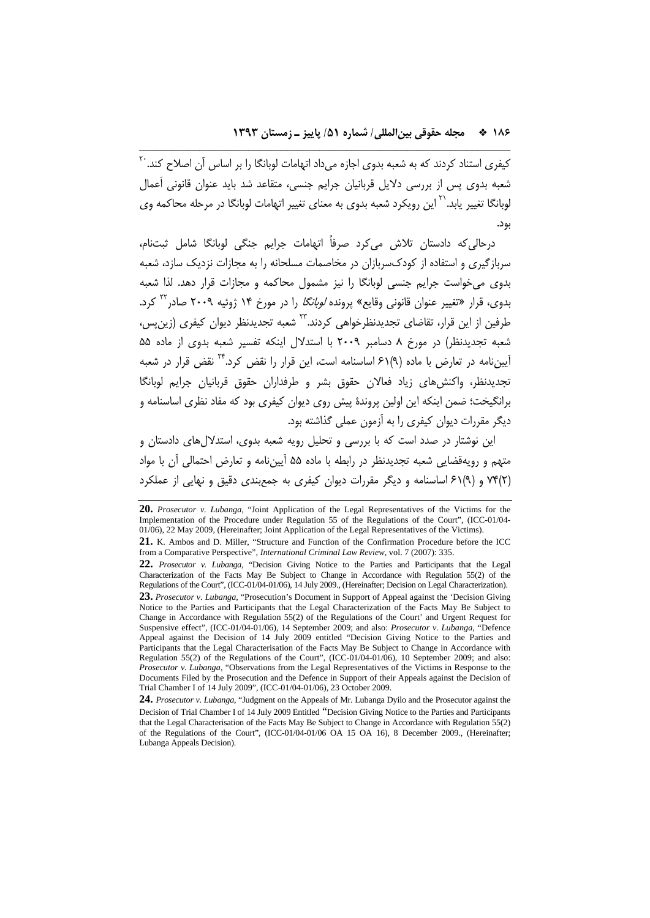كيفرى استناد كردند كه به شعبه بدوى اجازه مىداد اتهامات لوبانگا را بر اساس آن اصلاح كند.<sup>۲۰</sup> شعبه بدوي پس از بررسي دلايل قربانيان جرايم جنسي، متقاعد شد بايد عنوان قانوني اَعمال لوبانگا تغيير يابد.<sup>۲۱</sup> اين رويكرد شعبه بدوى به معناى تغيير اتهامات لوبانگا در مرحله محاكمه وى بود.

\_\_\_\_\_\_\_\_\_\_\_\_\_\_\_\_\_\_\_\_\_\_\_\_\_\_\_\_\_\_\_\_\_\_\_\_\_\_\_\_\_\_\_\_\_\_\_\_\_\_\_\_\_\_\_\_\_\_\_\_\_\_\_\_\_\_\_\_

درحاليكه دادستان تلاش ميكرد صرفاً اتهامات جرايم جنگي لوبانگا شامل ثبتنام، سربازگيري و استفاده از كودكسربازان در مخاصمات مسلحانه را به مجازات نزديك سازد، شعبه بدوي ميخواست جرايم جنسي لوبانگا را نيز مشمول محاكمه و مجازات قرار دهد. لذا شعبه بدوی، قرار «تغییر عنوان قانونی وقایع» پرونده *لوبانگا* را در مورخ ۱۴ ژوئیه ۲۰۰۹ صادر<sup>۲۲</sup> کرد. طرفين از اين قرار، تقاضاي تجديدنظرخواهي كردند.<sup>7۳</sup> شعبه تجديدنظر ديوان كيفري (زين يس، شعبه تجديدنظر) در مورخ 8 دسامبر 2009 با استدلال اينكه تفسير شعبه بدوي از ماده 55 آيينiامه در تعارض با ماده (٩)٤١ اساسنامه است، اين قرار را نقض كرد.\*\* نقض قرار در شعبه تجديدنظر، واكنشهاي زياد فعالان حقوق بشر و طرفداران حقوق قربانيان جرايم لوبانگا برانگيخت؛ ضمن اينكه اين اولين پروندة پيش روي ديوان كيفري بود كه مفاد نظري اساسنامه و ديگر مقررات ديوان كيفري را به آزمون عملي گذاشته بود.

اين نوشتار در صدد است كه با بررسي و تحليل رويه شعبه بدوي، استدلالهاي دادستان و متهم و رويهقضايي شعبه تجديدنظر در رابطه با ماده 55 آييننامه و تعارض احتمالي آن با مواد (2)74 و (9)61 اساسنامه و ديگر مقررات ديوان كيفري به جمعبندي دقيق و نهايي از عملكرد

**<sup>20.</sup>** *Prosecutor v. Lubanga*, "Joint Application of the Legal Representatives of the Victims for the Implementation of the Procedure under Regulation 55 of the Regulations of the Court", (ICC-01/04- 01/06), 22 May 2009, (Hereinafter; Joint Application of the Legal Representatives of the Victims).

**<sup>21.</sup>** K. Ambos and D. Miller, "Structure and Function of the Confirmation Procedure before the ICC from a Comparative Perspective", *International Criminal Law Review*, vol. 7 (2007): 335.

**<sup>22.</sup>** *Prosecutor v. Lubanga*, "Decision Giving Notice to the Parties and Participants that the Legal Characterization of the Facts May Be Subject to Change in Accordance with Regulation 55(2) of the Regulations of the Court", (ICC-01/04-01/06), 14 July 2009., (Hereinafter; Decision on Legal Characterization).

**<sup>23.</sup>** *Prosecutor v. Lubanga*, "Prosecution's Document in Support of Appeal against the 'Decision Giving Notice to the Parties and Participants that the Legal Characterization of the Facts May Be Subject to Change in Accordance with Regulation 55(2) of the Regulations of the Court' and Urgent Request for Suspensive effect", (ICC-01/04-01/06), 14 September 2009; and also: *Prosecutor v. Lubanga*, "Defence Appeal against the Decision of 14 July 2009 entitled "Decision Giving Notice to the Parties and Participants that the Legal Characterisation of the Facts May Be Subject to Change in Accordance with Regulation 55(2) of the Regulations of the Court", (ICC-01/04-01/06), 10 September 2009; and also: *Prosecutor v. Lubanga*, "Observations from the Legal Representatives of the Victims in Response to the Documents Filed by the Prosecution and the Defence in Support of their Appeals against the Decision of Trial Chamber I of 14 July 2009", (ICC-01/04-01/06), 23 October 2009.

**<sup>24.</sup>** *Prosecutor v. Lubanga*, "Judgment on the Appeals of Mr. Lubanga Dyilo and the Prosecutor against the Decision of Trial Chamber I of 14 July 2009 Entitled "Decision Giving Notice to the Parties and Participants that the Legal Characterisation of the Facts May Be Subject to Change in Accordance with Regulation 55(2) of the Regulations of the Court", (ICC-01/04-01/06 OA 15 OA 16), 8 December 2009., (Hereinafter; Lubanga Appeals Decision).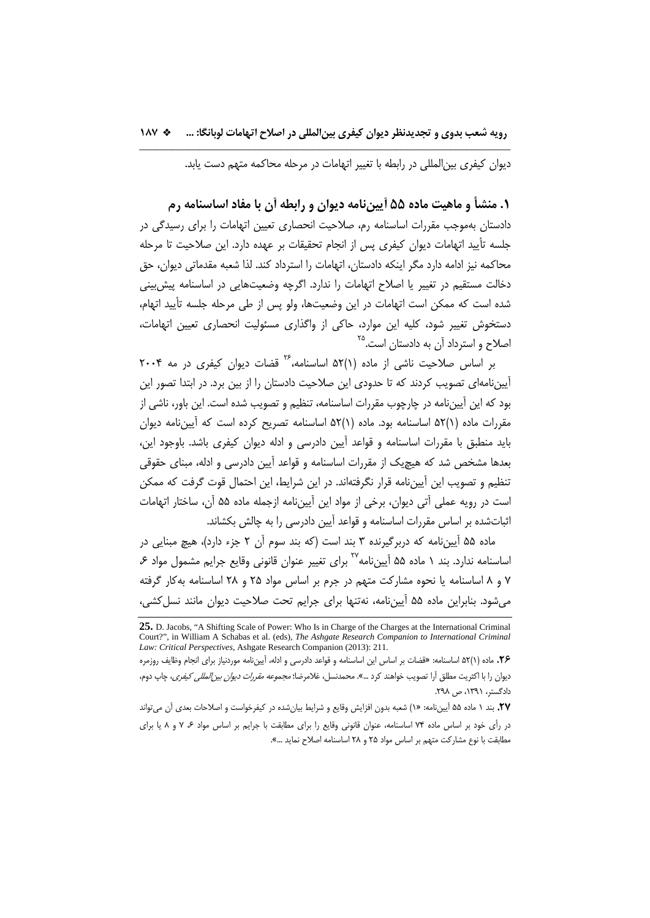ديوان كيفري بينالمللي در رابطه با تغيير اتهامات در مرحله محاكمه متهم دست يابد.

**.1 منشأ و ماهيت ماده 55 آييننامه ديوان و رابطه آن با مفاد اساسنامه رم**  دادستان بهموجب مقررات اساسنامه رم، صلاحيت انحصاري تعيين اتهامات را براي رسيدگي در جلسه تأييد اتهامات ديوان كيفري پس از انجام تحقيقات بر عهده دارد. اين صلاحيت تا مرحله محاكمه نيز ادامه دارد مگر اينكه دادستان، اتهامات را استرداد كند. لذا شعبه مقدماتي ديوان، حق دخالت مستقيم در تغيير يا اصلاح اتهامات را ندارد. اگرچه وضعيتهايي در اساسنامه پيشبيني شده است كه ممكن است اتهامات در اين وضعيتها، ولو پس از طي مرحله جلسه تأييد اتهام، دستخوش تغيير شود، كليه اين موارد، حاكي از واگذاري مسئوليت انحصاري تعيين اتهامات، اصلاح و استرداد آن به دادستان است.<sup>۳۵</sup>

بر اساس صلاحیت ناشی از ماده (۱)۵۲ اساسنامه،<sup>۲۶</sup> قضات دیوان کیفری در مه ۲۰۰۴ آييننامهاي تصويب كردند كه تا حدودي اين صلاحيت دادستان را از بين برد. در ابتدا تصور اين بود كه اين آييننامه در چارچوب مقررات اساسنامه، تنظيم و تصويب شده است. اين باور، ناشي از مقررات ماده (1)52 اساسنامه بود. ماده (1)52 اساسنامه تصريح كرده است كه آييننامه ديوان بايد منطبق با مقررات اساسنامه و قواعد آيين دادرسي و ادله ديوان كيفري باشد. باوجود اين، بعدها مشخص شد كه هيچيك از مقررات اساسنامه و قواعد آيين دادرسي و ادله، مبناي حقوقي تنظيم و تصويب اين آييننامه قرار نگرفتهاند. در اين شرايط، اين احتمال قوت گرفت كه ممكن است در رويه عملي آتي ديوان، برخي از مواد اين آييننامه ازجمله ماده 55 آن، ساختار اتهامات اثباتشده بر اساس مقررات اساسنامه و قواعد آيين دادرسي را به چالش بكشاند.

ماده 55 آييننامه كه دربرگيرنده 3 بند است (كه بند سوم آن 2 جزء دارد)، هيچ مبنايي در اساسنامه ندارد. بند ١ ماده ۵۵ آيينiامه <sup>٢٧</sup> براي تغيير عنوان قانوني وقايع جرايم مشمول مواد ۶، 7 و 8 اساسنامه يا نحوه مشاركت متهم در جرم بر اساس مواد 25 و 28 اساسنامه بهكار گرفته ميشود. بنابراين ماده 55 آييننامه، نهتنها براي جرايم تحت صلاحيت ديوان مانند نسلكشي،

**<sup>25.</sup>** D. Jacobs, "A Shifting Scale of Power: Who Is in Charge of the Charges at the International Criminal Court?", in William A Schabas et al. (eds), *The Ashgate Research Companion to International Criminal Law: Critical Perspectives*, Ashgate Research Companion (2013): 211.

**<sup>.26</sup>** ماده (1)52 اساسنامه: «قضات بر اساس اين اساسنامه و قواعد دادرسي و ادله، آييننامه موردنياز براي انجام وظايف روزمره ديوان را با اكثريت مطلق آرا تصويب خواهند كرد ...». محمدنسل، غلامرضا؛ مجموعه مقررات ديوان بينالمللي كيفري، چاپ دوم، دادگستر، ،1391 ص .298

<sup>.</sup>**27** بند 1 ماده 55 آييننامه: «1) شعبه بدون افزايش وقايع و شرايط بيانشده در كيفرخواست و اصلاحات بعدي آن ميتواند در رأي خود بر اساس ماده 74 اساسنامه، عنوان قانوني وقايع را براي مطابقت با جرايم بر اساس مواد ،6 7 و 8 يا براي مطابقت با نوع مشاركت متهم بر اساس مواد 25 و 28 اساسنامه اصلاح نمايد ...».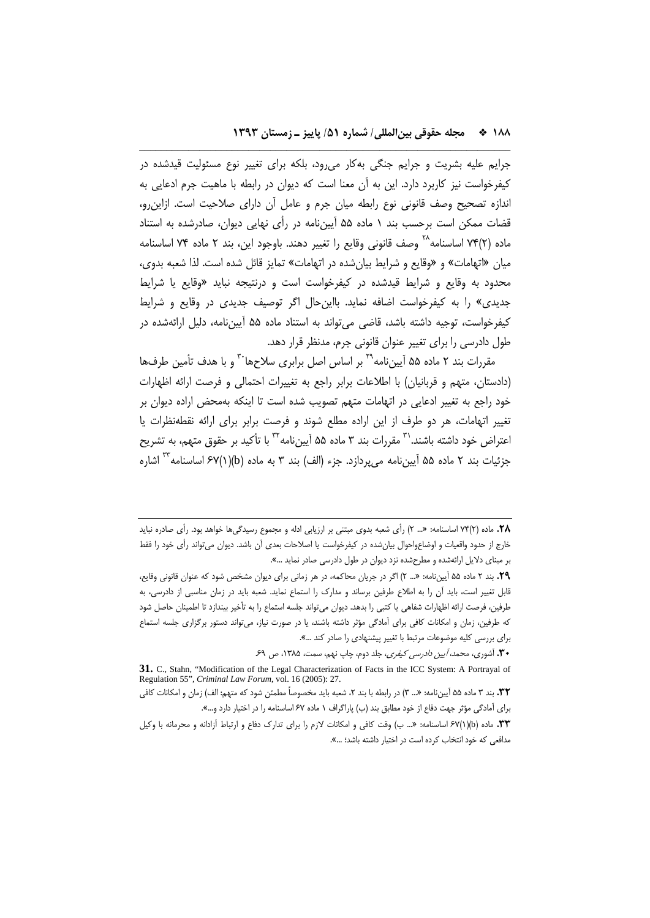جرايم عليه بشريت و جرايم جنگي بهكار ميرود، بلكه براي تغيير نوع مسئوليت قيدشده در كيفرخواست نيز كاربرد دارد. اين به آن معنا است كه ديوان در رابطه با ماهيت جرم ادعايي به اندازه تصحيح وصف قانوني نوع رابطه ميان جرم و عامل آن داراي صلاحيت است. ازاينرو، قضات ممكن است برحسب بند 1 ماده 55 آييننامه در رأي نهايي ديوان، صادرشده به استناد ماده (٢)٧۴ اساسنامه $^{\wedge}$  وصف قانوني وقايع را تغيير دهند. باوجود اين، بند ٢ ماده ٧۴ اساسنامه ميان «اتهامات» و «وقايع و شرايط بيانشده در اتهامات» تمايز قائل شده است. لذا شعبه بدوي، محدود به وقايع و شرايط قيدشده در كيفرخواست است و درنتيجه نبايد «وقايع يا شرايط جديدي» را به كيفرخواست اضافه نمايد. بااينحال اگر توصيف جديدي در وقايع و شرايط كيفرخواست، توجيه داشته باشد، قاضي ميتواند به استناد ماده 55 آييننامه، دليل ارائهشده در طول دادرسي را براي تغيير عنوان قانوني جرم، مدنظر قرار دهد.

\_\_\_\_\_\_\_\_\_\_\_\_\_\_\_\_\_\_\_\_\_\_\_\_\_\_\_\_\_\_\_\_\_\_\_\_\_\_\_\_\_\_\_\_\_\_\_\_\_\_\_\_\_\_\_\_\_\_\_\_\_\_\_\_\_\_\_\_

مقررات بند ۲ ماده ۵۵ آيينiامه<sup>۲۹</sup> بر اساس اصل برابری سلاحها<sup>۳۰</sup> و با هدف تأمين طرفها (دادستان، متهم و قربانيان) با اطلاعات برابر راجع به تغييرات احتمالي و فرصت ارائه اظهارات خود راجع به تغيير ادعايي در اتهامات متهم تصويب شده است تا اينكه بهمحض اراده ديوان بر تغيير اتهامات، هر دو طرف از اين اراده مطلع شوند و فرصت برابر براي ارائه نقطهنظرات يا 'عتراض خود داشته باشند.`<sup>۳</sup> مقررات بند ۳ ماده ۵۵ آييننامه<sup>۳۲</sup> با تأكيد بر حقوق متهم، به تشريح جزئيات بند ٢ ماده ۵۵ آيينiمه ميپردازد. جزء (الف) بند ٣ به ماده (b)(١)(٢٧ اساسنامه أن اشاره

**.29** بند 2 ماده 55 آييننامه: «... 2) اگر در جريان محاكمه، در هر زماني براي ديوان مشخص شود كه عنوان قانوني وقايع، قابل تغيير است، بايد آن را به اطلاع طرفين برساند و مدارك را استماع نمايد. شعبه بايد در زمان مناسبي از دادرسي، به طرفين، فرصت ارائه اظهارات شفاهي يا كتبي را بدهد. ديوان ميتواند جلسه استماع را به تأخير بيندازد تا اطمينان حاصل شود كه طرفين، زمان و امكانات كافي براي آمادگي مؤثر داشته باشند، يا در صورت نياز، ميتواند دستور برگزاري جلسه استماع براي بررسي كليه موضوعات مرتبط با تغيير پيشنهادي را صادر كند ...».

**.30** آشوري، محمد، آيين دادرسي كيفري، جلد دوم، چاپ نهم، سمت، ،1385 ص .69

**.32** بند 3 ماده 55 آييننامه: «... 3) در رابطه با بند ،2 شعبه بايد مخصوصاً مطمئن شود كه متهم: الف) زمان و امكانات كافي براي آمادگي مؤثر جهت دفاع از خود مطابق بند (ب) پاراگراف 1 ماده 67 اساسنامه را در اختيار دارد و...».

**<sup>.28</sup>** ماده (2)74 اساسنامه: «... 2) رأي شعبه بدوي مبتني بر ارزيابي ادله و مجموع رسيدگيها خواهد بود. رأي صادره نبايد خارج از حدود واقعيات و اوضاعواحوال بيانشده در كيفرخواست يا اصلاحات بعدي آن باشد. ديوان ميتواند رأي خود را فقط بر مبناي دلايل ارائهشده و مطرحشده نزد ديوان در طول دادرسي صادر نمايد ...».

**<sup>31.</sup>** C., Stahn, "Modification of the Legal Characterization of Facts in the ICC System: A Portrayal of Regulation 55", *Criminal Law Forum*, vol. 16 (2005): 27.

**<sup>.33</sup>** ماده (b)(1(67 اساسنامه: «... ب) وقت كافي و امكانات لازم را براي تدارك دفاع و ارتباط آزادانه و محرمانه با وكيل مدافعي كه خود انتخاب كرده است در اختيار داشته باشد؛ ...».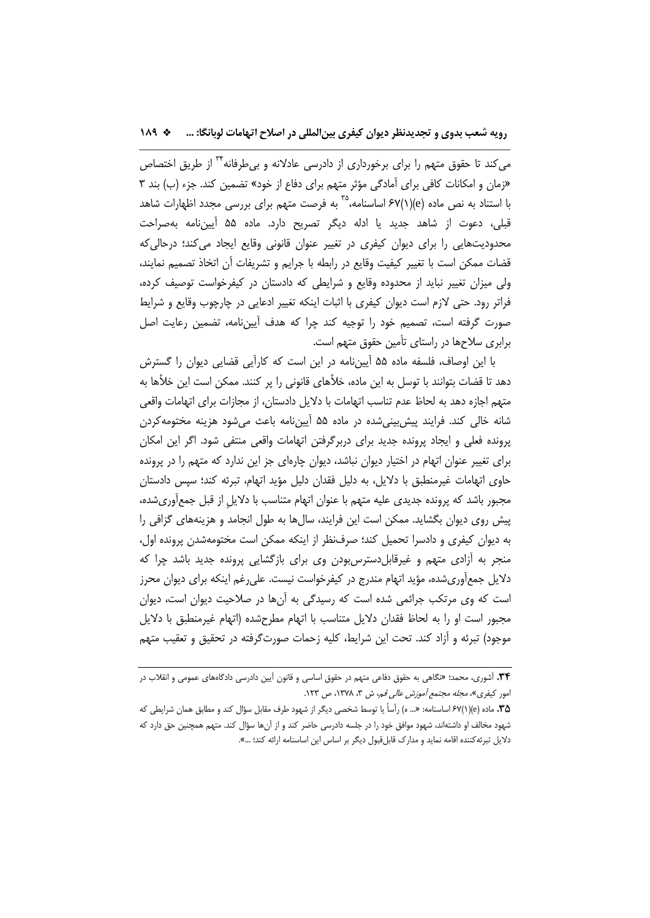مي كند تا حقوق متهم را براي برخورداري از دادرسي عادلانه و بي طرفانه <sup>۳۲</sup> از طريق اختصاص «زمان و امكانات كافي براي آمادگي مؤثر متهم براي دفاع از خود» تضمين كند. جزء (ب) بند 3 با استناد به نص ماده (e)(١)/۶٧ اساسنامه، ``` به فرصت متهم براي بررسي مجدد اظهارات شاهد قبلي، دعوت از شاهد جديد يا ادله ديگر تصريح دارد. ماده 55 آييننامه بهصراحت محدوديتهايي را براي ديوان كيفري در تغيير عنوان قانوني وقايع ايجاد ميكند؛ درحاليكه قضات ممكن است با تغيير كيفيت وقايع در رابطه با جرايم و تشريفات آن اتخاذ تصميم نمايند، ولي ميزان تغيير نبايد از محدوده وقايع و شرايطي كه دادستان در كيفرخواست توصيف كرده، فراتر رود. حتي لازم است ديوان كيفري با اثبات اينكه تغيير ادعايي در چارچوب وقايع و شرايط صورت گرفته است، تصميم خود را توجيه كند چرا كه هدف آييننامه، تضمين رعايت اصل برابري سلاحها در راستاي تأمين حقوق متهم است.

با اين اوصاف، فلسفه ماده 55 آييننامه در اين است كه كارآيي قضايي ديوان را گسترش دهد تا قضات بتوانند با توسل به اين ماده، خلأهاي قانوني را پر كنند. ممكن است اين خلأها به متهم اجازه دهد به لحاظ عدم تناسب اتهامات با دلايل دادستان، از مجازات براي اتهامات واقعي شانه خالي كند. فرايند پيشبينيشده در ماده 55 آييننامه باعث ميشود هزينه مختومهكردن پرونده فعلي و ايجاد پرونده جديد براي دربرگرفتن اتهامات واقعي منتفي شود. اگر اين امكان براي تغيير عنوان اتهام در اختيار ديوان نباشد، ديوان چارهاي جز اين ندارد كه متهم را در پرونده حاوي اتهامات غيرمنطبق با دلايل، به دليل فقدان دليل مؤيد اتهام، تبرئه كند؛ سپس دادستان مجبور باشد كه پرونده جديدي عليه متهم با عنوان اتهام متناسب با دلايلِ از قبل جمعآوريشده، پيش روي ديوان بگشايد. ممكن است اين فرايند، سالها به طول انجامد و هزينههاي گزافي را به ديوان كيفري و دادسرا تحميل كند؛ صرفنظر از اينكه ممكن است مختومهشدن پرونده اول، منجر به آزادي متهم و غيرقابلدسترسبودن وي براي بازگشايي پرونده جديد باشد چرا كه دلايل جمعآوريشده، مؤيد اتهام مندرج در كيفرخواست نيست. عليرغم اينكه براي ديوان محرز است كه وي مرتكب جرائمي شده است كه رسيدگي به آنها در صلاحيت ديوان است، ديوان مجبور است او را به لحاظ فقدان دلايل متناسب با اتهام مطرحشده (اتهام غيرمنطبق با دلايل موجود) تبرئه و آزاد كند. تحت اين شرايط، كليه زحمات صورتگرفته در تحقيق و تعقيب متهم

**<sup>.34</sup>** آشوري، محمد؛ «نگاهي به حقوق دفاعي متهم در حقوق اساسي و قانون آيين دادرسي دادگاههاي عمومي و انقلاب در امور كيفرى»، *مجله مجتمع آموزش عالي قم*، ش ٣، ١٣٧٨، ص ١٢٣.

**<sup>.35</sup>** ماده (e)(1(67 اساسنامه: «... ه) رأساً يا توسط شخصي ديگر از شهود طرف مقابل سؤال كند و مطابق همان شرايطي كه شهود مخالف او داشتهاند، شهود موافق خود را در جلسه دادرسي حاضر كند و از آنها سؤال كند. متهم همچنين حق دارد كه دلايل تبرئهكننده اقامه نمايد و مدارك قابلقبول ديگر بر اساس اين اساسنامه ارائه كند؛ ...».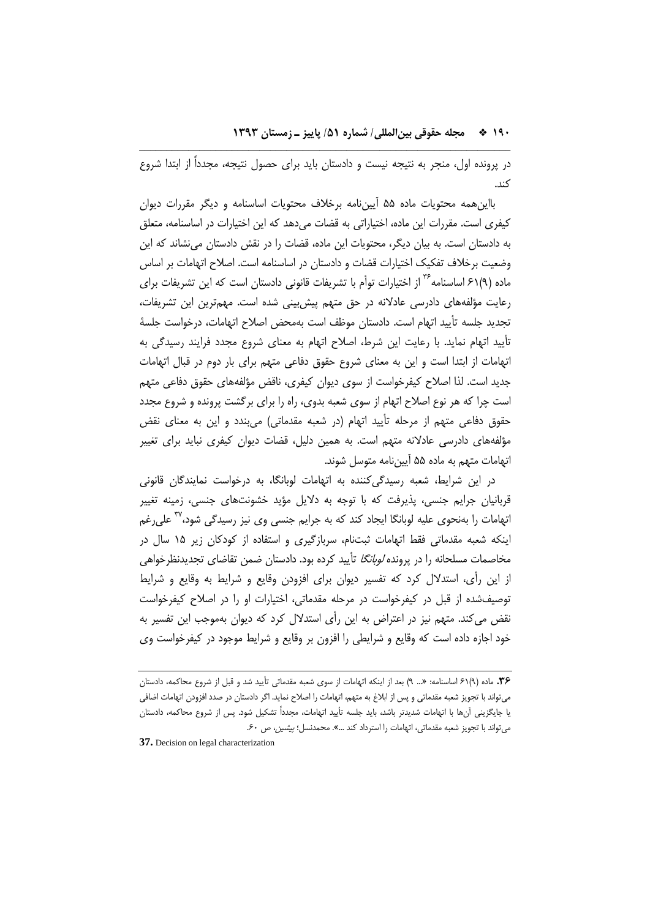در پرونده اول، منجر به نتيجه نيست و دادستان بايد براي حصول نتيجه، مجدداً از ابتدا شروع كند.

\_\_\_\_\_\_\_\_\_\_\_\_\_\_\_\_\_\_\_\_\_\_\_\_\_\_\_\_\_\_\_\_\_\_\_\_\_\_\_\_\_\_\_\_\_\_\_\_\_\_\_\_\_\_\_\_\_\_\_\_\_\_\_\_\_\_\_\_

بااينهمه محتويات ماده 55 آييننامه برخلاف محتويات اساسنامه و ديگر مقررات ديوان كيفري است. مقررات اين ماده، اختياراتي به قضات ميدهد كه اين اختيارات در اساسنامه، متعلق به دادستان است. به بيان ديگر، محتويات اين ماده، قضات را در نقش دادستان مينشاند كه اين وضعيت برخلاف تفكيك اختيارات قضات و دادستان در اساسنامه است. اصلاح اتهامات بر اساس ماده (۹)۶۱ اساسنامه<sup>۳۶</sup> از اختيارات توأم با تشريفات قانوني دادستان است كه اين تشريفات براي رعايت مؤلفههاي دادرسي عادلانه در حق متهم پيشبيني شده است. مهمترين اين تشريفات، تجديد جلسه تأييد اتهام است. دادستان موظف است بهمحض اصلاح اتهامات، درخواست جلسة تأييد اتهام نمايد. با رعايت اين شرط، اصلاح اتهام به معناي شروع مجدد فرايند رسيدگي به اتهامات از ابتدا است و اين به معناي شروع حقوق دفاعي متهم براي بار دوم در قبال اتهامات جديد است. لذا اصلاح كيفرخواست از سوي ديوان كيفري، ناقض مؤلفههاي حقوق دفاعي متهم است چرا كه هر نوع اصلاح اتهام از سوي شعبه بدوي، راه را براي برگشت پرونده و شروع مجدد حقوق دفاعي متهم از مرحله تأييد اتهام (در شعبه مقدماتي) ميبندد و اين به معناي نقض مؤلفههاي دادرسي عادلانه متهم است. به همين دليل، قضات ديوان كيفري نبايد براي تغيير اتهامات متهم به ماده 55 آييننامه متوسل شوند.

در اين شرايط، شعبه رسيدگيكننده به اتهامات لوبانگا، به درخواست نمايندگان قانوني قربانيان جرايم جنسي، پذيرفت كه با توجه به دلايل مؤيد خشونتهاي جنسي، زمينه تغيير اتهامات را بهنحوي عليه لوبانگا ايجاد كند كه به جرايم جنسي وي نيز رسيدگي شود،<sup>۳۷</sup> علىرغم اينكه شعبه مقدماتي فقط اتهامات ثبتنام، سربازگيري و استفاده از كودكان زير 15 سال در مخاصمات مسلحانه را در پرونده *لوبانگا* تأييد كرده بود. دادستان ضمن تقاضاي تجديدنظرخواهي از اين رأي، استدلال كرد كه تفسير ديوان براي افزودن وقايع و شرايط به وقايع و شرايط توصيفشده از قبل در كيفرخواست در مرحله مقدماتي، اختيارات او را در اصلاح كيفرخواست نقض ميكند. متهم نيز در اعتراض به اين رأي استدلال كرد كه ديوان بهموجب اين تفسير به خود اجازه داده است كه وقايع و شرايطي را افزون بر وقايع و شرايط موجود در كيفرخواست وي

**37.** Decision on legal characterization

**<sup>.36</sup>** ماده (9)61 اساسنامه: «... 9) بعد از اينكه اتهامات از سوي شعبه مقدماتي تأييد شد و قبل از شروع محاكمه، دادستان ميتواند با تجويز شعبه مقدماتي و پس از ابلاغ به متهم، اتهامات را اصلاح نمايد. اگر دادستان در صدد افزودن اتهامات اضافي يا جايگزيني آنها با اتهامات شديدتر باشد، بايد جلسه تأييد اتهامات، مجدداً تشكيل شود. پس از شروع محاكمه، دادستان ميتواند با تجويز شعبه مقدماتي، اتهامات را استرداد كند ...». محمدنسل؛ پيشين، ص .60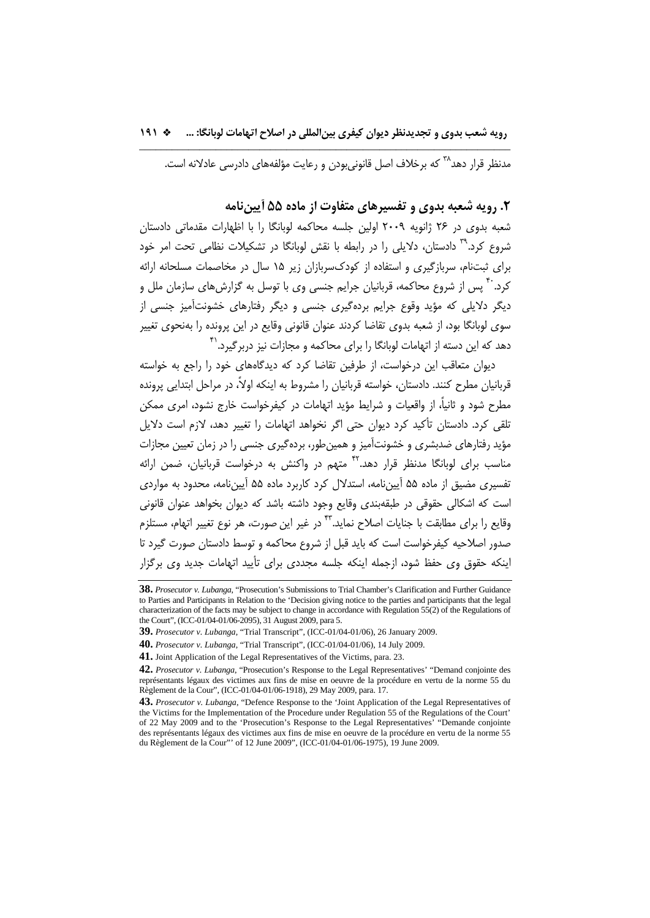مدنظر قرار دهد<sup>۳۸</sup> كه برخلاف اصل قانوني بودن و رعايت مؤلفههاي دادرسي عادلانه است.

## **.2 رويه شعبه بدوي و تفسيرهاي متفاوت از ماده 55 آييننامه**

شعبه بدوي در 26 ژانويه 2009 اولين جلسه محاكمه لوبانگا را با اظهارات مقدماتي دادستان شروع كرد.<sup>۳۹</sup> دادستان، دلايلي را در رابطه با نقش لوبانگا در تشكيلات نظامي تحت امر خود براي ثبتنام، سربازگيري و استفاده از كودكسربازان زير 15 سال در مخاصمات مسلحانه ارائه کرد.<sup>۴۰</sup> پس از شروع محاکمه، قربانيان جرايم جنسی وی با توسل به گزارشهای سازمان ملل و ديگر دلايلي كه مؤيد وقوع جرايم بردهگيري جنسي و ديگر رفتارهاي خشونتآميز جنسي از سوي لوبانگا بود، از شعبه بدوي تقاضا كردند عنوان قانوني وقايع در اين پرونده را بهنحوي تغيير دهد كه اين دسته از اتهامات لوبانگا را براى محاكمه و مجازات نيز دربرگيرد.<sup>۴۱</sup>

ديوان متعاقب اين درخواست، از طرفين تقاضا كرد كه ديدگاههاي خود را راجع به خواسته قربانيان مطرح كنند. دادستان، خواسته قربانيان را مشروط به اينكه اولا،ً در مراحل ابتدايي پرونده مطرح شود و ثانيا،ً از واقعيات و شرايط مؤيد اتهامات در كيفرخواست خارج نشود، امري ممكن تلقي كرد. دادستان تأكيد كرد ديوان حتي اگر نخواهد اتهامات را تغيير دهد، لازم است دلايل مؤيد رفتارهاي ضدبشري و خشونتآميز و همينطور، بردهگيري جنسي را در زمان تعيين مجازات مناسب براي لوبانگا مدنظر قرار دهد.<sup>۴۲</sup> متهم در واكنش به درخواست قربانيان، ضمن ارائه تفسيري مضيق از ماده 55 آييننامه، استدلال كرد كاربرد ماده 55 آييننامه، محدود به مواردي است كه اشكالي حقوقي در طبقهبندي وقايع وجود داشته باشد كه ديوان بخواهد عنوان قانوني وقايع را براي مطابقت با جنايات اصلاح نمايد.<sup>٢٣</sup> در غير اين صورت، هر نوع تغيير اتـهام، مستلزم صدور اصلاحيه كيفرخواست است كه بايد قبل از شروع محاكمه و توسط دادستان صورت گيرد تا اينكه حقوق وي حفظ شود، ازجمله اينكه جلسه مجددي براي تأييد اتهامات جديد وي برگزار

**<sup>38.</sup>** *Prosecutor v. Lubanga*, "Prosecution's Submissions to Trial Chamber's Clarification and Further Guidance to Parties and Participants in Relation to the 'Decision giving notice to the parties and participants that the legal characterization of the facts may be subject to change in accordance with Regulation 55(2) of the Regulations of the Court", (ICC-01/04-01/06-2095), 31 August 2009, para 5.

**<sup>39.</sup>** *Prosecutor v. Lubanga*, "Trial Transcript", (ICC-01/04-01/06), 26 January 2009.

**<sup>40.</sup>** *Prosecutor v. Lubanga*, "Trial Transcript", (ICC-01/04-01/06), 14 July 2009.

**<sup>41.</sup>** Joint Application of the Legal Representatives of the Victims, para. 23.

**<sup>42.</sup>** *Prosecutor v. Lubanga*, "Prosecution's Response to the Legal Representatives' "Demand conjointe des représentants légaux des victimes aux fins de mise en oeuvre de la procédure en vertu de la norme 55 du Règlement de la Cour", (ICC-01/04-01/06-1918), 29 May 2009, para. 17.

**<sup>43.</sup>** *Prosecutor v. Lubanga*, "Defence Response to the 'Joint Application of the Legal Representatives of the Victims for the Implementation of the Procedure under Regulation 55 of the Regulations of the Court' of 22 May 2009 and to the 'Prosecution's Response to the Legal Representatives' "Demande conjointe des représentants légaux des victimes aux fins de mise en oeuvre de la procédure en vertu de la norme 55 du Règlement de la Cour"' of 12 June 2009", (ICC-01/04-01/06-1975), 19 June 2009.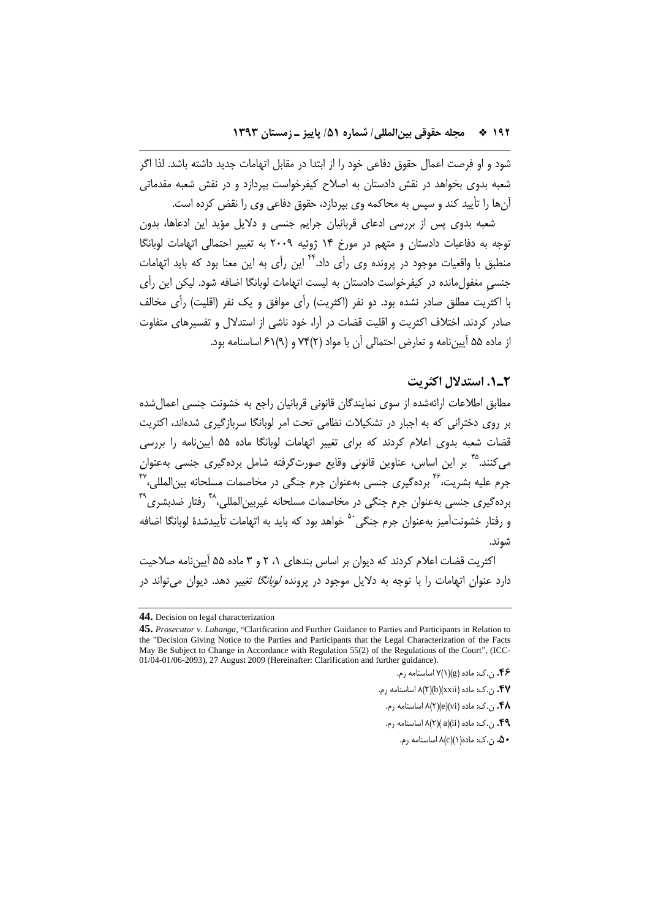شود و او فرصت اعمال حقوق دفاعي خود را از ابتدا در مقابل اتهامات جديد داشته باشد. لذا اگر شعبه بدوي بخواهد در نقش دادستان به اصلاح كيفرخواست بپردازد و در نقش شعبه مقدماتي آنها را تأييد كند و سپس به محاكمه وي بپردازد، حقوق دفاعي وي را نقض كرده است.

\_\_\_\_\_\_\_\_\_\_\_\_\_\_\_\_\_\_\_\_\_\_\_\_\_\_\_\_\_\_\_\_\_\_\_\_\_\_\_\_\_\_\_\_\_\_\_\_\_\_\_\_\_\_\_\_\_\_\_\_\_\_\_\_\_\_\_\_

شعبه بدوي پس از بررسي ادعاي قربانيان جرايم جنسي و دلايل مؤيد اين ادعاها، بدون توجه به دفاعيات دادستان و متهم در مورخ 14 ژوئيه 2009 به تغيير احتمالي اتهامات لوبانگا منطبق با واقعيات موجود در پرونده وي رأي داد. <sup>۴۴</sup> اين رأي به اين معنا بود كه بايد اتهامات جنسي مغفول مانده در كيفرخواست دادستان به ليست اتهامات لوبانگا اضافه شود. ليكن اين رأي با اكثريت مطلق صادر نشده بود. دو نفر (اكثريت) رأي موافق و يك نفر (اقليت) رأي مخالف صادر كردند. اختلاف اكثريت و اقليت قضات در آرا، خود ناشي از استدلال و تفسيرهاي متفاوت از ماده 55 آييننامه و تعارض احتمالي آن با مواد (2)74 و (9)61 اساسنامه بود.

## **2ـ.1 استدلال اكثريت**

مطابق اطلاعات ارائهشده از سوي نمايندگان قانوني قربانيان راجع به خشونت جنسي اعمالشده بر روي دختراني كه به اجبار در تشكيلات نظامي تحت امر لوبانگا سربازگيري شدهاند، اكثريت قضات شعبه بدوي اعلام كردند كه براي تغيير اتهامات لوبانگا ماده 55 آييننامه را بررسي میکنند.<sup>۴۵</sup> بر این اساس، عناوین قانونی وقایع صورتگرفته شامل بردهگیری جنسی بهعنوان جرم عليه بشريت،<sup>۴۶</sup> بردهگيري جنسي بهعنوان جرم جنگي در مخاصمات مسلحانه بين|لمللي،۴<sup>۷</sup> بردهگيري جنسي بهعنوان جرم جنگي در مخاصمات مسلحانه غيربين|لمللي،<sup>۴۸</sup> رفتار ضدبشري<sup>۴۹</sup> و رفتار خشونتآميز بهعنوان جرم جنگي<sup>. ۵</sup> خواهد بود كه بايد به اتهامات تأييدشدهٔ لوبانگا اضافه شوند.

اكثريت قضات اعلام كردند كه ديوان بر اساس بندهاي ،1 2 و 3 ماده 55 آييننامه صلاحيت دارد عنوان اتهامات را با توجه به دلايل موجود در پرونده *لوبانگا* تغيير دهد. ديوان مي *ت*واند در

**<sup>44.</sup>** Decision on legal characterization

**<sup>45.</sup>** *Prosecutor v. Lubanga*, "Clarification and Further Guidance to Parties and Participants in Relation to the "Decision Giving Notice to the Parties and Participants that the Legal Characterization of the Facts May Be Subject to Change in Accordance with Regulation 55(2) of the Regulations of the Court", (ICC-01/04-01/06-2093), 27 August 2009 (Hereinafter: Clarification and further guidance).

**<sup>.46</sup>** ن.ك: ماده (g)(1(7 اساسنامه رم.

**<sup>.47</sup>** ن.ك: ماده (xxii)(b)(2(8 اساسنامه رم.

**<sup>.48</sup>** ن.ك: ماده (vi)(e)(2(8 اساسنامه رم.

**<sup>.49</sup>** ن.ك: ماده (ii)(a)( 2(8 اساسنامه رم.

**<sup>.50</sup>** ن.ك: ماده(1)(c(8 اساسنامه رم.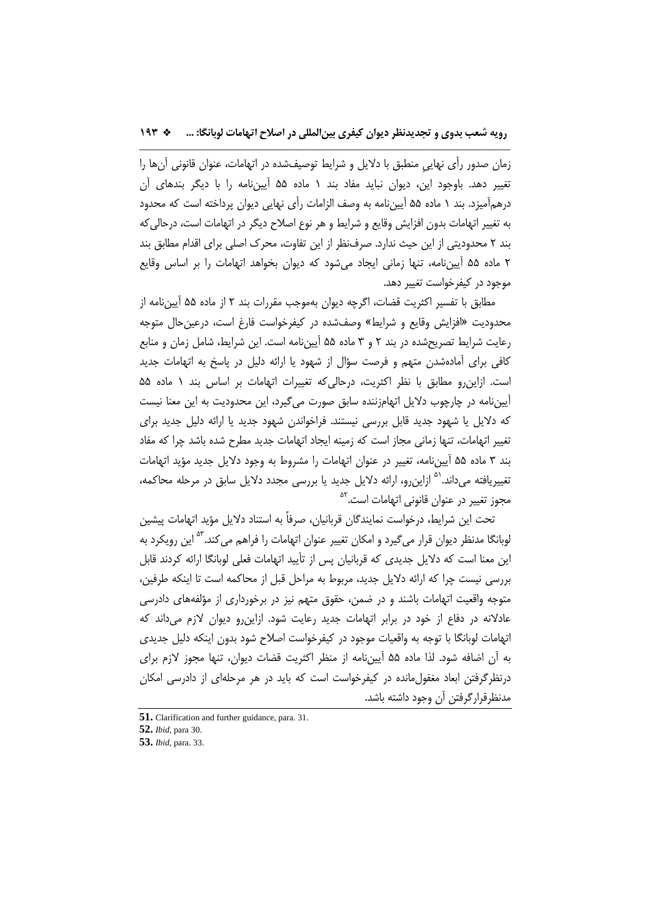زمان صدور رأي نهاييِ منطبق با دلايل و شرايط توصيفشده در اتهامات، عنوان قانوني آنها را تغيير دهد. باوجود اين، ديوان نبايد مفاد بند 1 ماده 55 آييننامه را با ديگر بندهاي آن درهمآميزد. بند 1 ماده 55 آييننامه به وصف الزامات رأي نهايي ديوان پرداخته است كه محدود به تغيير اتهامات بدون افزايش وقايع و شرايط و هر نوع اصلاح ديگر در اتهامات است، درحاليكه بند 2 محدوديتي از اين حيث ندارد. صرفنظر از اين تفاوت، محرك اصلي براي اقدام مطابق بند 2 ماده 55 آييننامه، تنها زماني ايجاد ميشود كه ديوان بخواهد اتهامات را بر اساس وقايع موجود در كيفرخواست تغيير دهد.

مطابق با تفسير اكثريت قضات، اگرچه ديوان بهموجب مقررات بند 2 از ماده 55 آييننامه از محدوديت «افزايش وقايع و شرايط» وصفشده در كيفرخواست فارغ است، درعينحال متوجه رعايت شرايط تصريحشده در بند 2 و 3 ماده 55 آييننامه است. اين شرايط، شامل زمان و منابع كافي براي آمادهشدن متهم و فرصت سؤال از شهود يا ارائه دليل در پاسخ به اتهامات جديد است. ازاينرو مطابق با نظر اكثريت، درحاليكه تغييرات اتهامات بر اساس بند 1 ماده 55 آييننامه در چارچوب دلايل اتهامزننده سابق صورت ميگيرد، اين محدوديت به اين معنا نيست كه دلايل يا شهود جديد قابل بررسي نيستند. فراخواندن شهود جديد يا ارائه دليل جديد براي تغيير اتهامات، تنها زماني مجاز است كه زمينه ايجاد اتهامات جديد مطرح شده باشد چرا كه مفاد بند 3 ماده 55 آييننامه، تغيير در عنوان اتهامات را مشروط به وجود دلايل جديد مؤيد اتهامات تغييريافته ميداند.<sup>۵۱</sup> ازاينرو، ارائه دلايل جديد يا بررسي مجدد دلايل سابق در مرحله محاكمه، مجوز تغيير در عنوان قانونى اتهامات است.<sup>٥٢</sup>

تحت اين شرايط، درخواست نمايندگان قربانيان، صرفاً به استناد دلايل مؤيد اتهامات پيشين لوبانگا مدنظر ديوان قرار مىگيرد و امكان تغيير عنوان اتهامات را فراهم مىكند.<sup>۵۳</sup> اين رويكرد به اين معنا است كه دلايل جديدي كه قربانيان پس از تأييد اتهامات فعلي لوبانگا ارائه كردند قابل بررسي نيست چرا كه ارائه دلايل جديد، مربوط به مراحل قبل از محاكمه است تا اينكه طرفين، متوجه واقعيت اتهامات باشند و در ضمن، حقوق متهم نيز در برخورداري از مؤلفههاي دادرسي عادلانه در دفاع از خود در برابر اتهامات جديد رعايت شود. ازاينرو ديوان لازم ميداند كه اتهامات لوبانگا با توجه به واقعيات موجود در كيفرخواست اصلاح شود بدون اينكه دليل جديدي به آن اضافه شود. لذا ماده 55 آييننامه از منظر اكثريت قضات ديوان، تنها مجوز لازم براي درنظرگرفتن ابعاد مغفولمانده در كيفرخواست است كه بايد در هر مرحلهاي از دادرسي امكان مدنظرقرارگرفتن آن وجود داشته باشد.

**<sup>51.</sup>** Clarification and further guidance, para. 31.

**<sup>52.</sup>** *Ibid*, para 30.

**<sup>53.</sup>** *Ibid*, para. 33.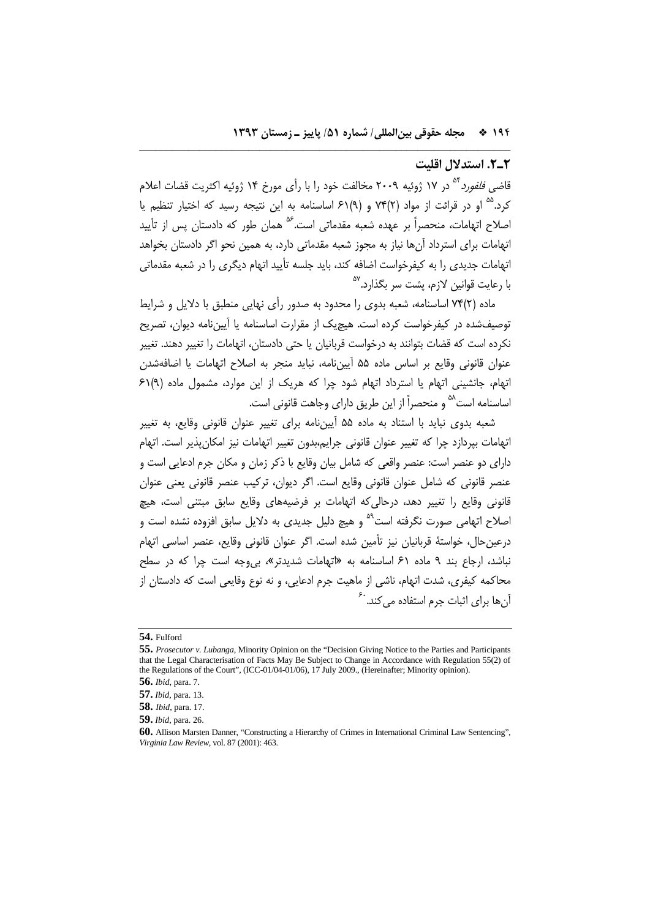## **2ـ.2 استدلال اقليت**

قاض*ی فلفورد* <sup>۵۴</sup> در ۱۷ ژوئیه ۲۰۰۹ مخالفت خود را با رأی مورخ ۱۴ ژوئیه اکثریت قضات اعلام کرد.<sup>۵۵</sup> او در قرائت از مواد (٢)۷۴ و (٩)۶۱ اساسنامه به اين نتيجه رسيد که اختيار تنظيم يا اصلاح اتهامات، منحصراً بر عهده شعبه مقدماتی است.<sup>۵۶</sup> همان طور که دادستان پس از تأييد اتهامات براي استرداد آنها نياز به مجوز شعبه مقدماتي دارد، به همين نحو اگر دادستان بخواهد اتهامات جديدي را به كيفرخواست اضافه كند، بايد جلسه تأييد اتهام ديگري را در شعبه مقدماتي <sup>57</sup> با رعايت قوانين لازم، پشت سر بگذارد.

\_\_\_\_\_\_\_\_\_\_\_\_\_\_\_\_\_\_\_\_\_\_\_\_\_\_\_\_\_\_\_\_\_\_\_\_\_\_\_\_\_\_\_\_\_\_\_\_\_\_\_\_\_\_\_\_\_\_\_\_\_\_\_\_\_\_\_\_

ماده (2)74 اساسنامه، شعبه بدوي را محدود به صدور رأي نهايي منطبق با دلايل و شرايط توصيفشده در كيفرخواست كرده است. هيچيك از مقرارت اساسنامه يا آييننامه ديوان، تصريح نكرده است كه قضات بتوانند به درخواست قربانيان يا حتي دادستان، اتهامات را تغيير دهند. تغيير عنوان قانوني وقايع بر اساس ماده 55 آييننامه، نبايد منجر به اصلاح اتهامات يا اضافهشدن اتهام، جانشيني اتهام يا استرداد اتهام شود چرا كه هريك از اين موارد، مشمول ماده (9)61 اساسنامه است<sup>۵۸</sup> و منحصراً از اين طريق داراي وجاهت قانوني است.

شعبه بدوي نبايد با استناد به ماده 55 آييننامه براي تغيير عنوان قانوني وقايع، به تغيير اتهامات بپردازد چرا كه تغيير عنوان قانوني جرايم،بدون تغيير اتهامات نيز امكانپذير است. اتهام داراي دو عنصر است: عنصر واقعي كه شامل بيان وقايع با ذكر زمان و مكان جرم ادعايي است و عنصر قانوني كه شامل عنوان قانوني وقايع است. اگر ديوان، تركيب عنصر قانوني يعني عنوان قانوني وقايع را تغيير دهد، درحاليكه اتهامات بر فرضيههاي وقايع سابق مبتني است، هيچ 'صلاح اتهامی صورت نگرفته است<sup>۵۹</sup> و هیچ دلیل جدیدی به دلایل سابق افزوده نشده است و درعينحال، خواستة قربانيان نيز تأمين شده است. اگر عنوان قانوني وقايع، عنصر اساسي اتهام نباشد، ارجاع بند 9 ماده 61 اساسنامه به «اتهامات شديدتر»، بيوجه است چرا كه در سطح محاكمه كيفري، شدت اتهام، ناشي از ماهيت جرم ادعايي، و نه نوع وقايعي است كه دادستان از آنها براي اثبات جرم استفاده م*ي ك*ند. <sup>.ع</sup>

**<sup>54.</sup>** Fulford

**<sup>55.</sup>** *Prosecutor v. Lubanga*, Minority Opinion on the "Decision Giving Notice to the Parties and Participants that the Legal Characterisation of Facts May Be Subject to Change in Accordance with Regulation 55(2) of the Regulations of the Court", (ICC-01/04-01/06), 17 July 2009., (Hereinafter; Minority opinion).

**<sup>56.</sup>** *Ibid*, para. 7.

**<sup>57.</sup>** *Ibid*, para. 13.

**<sup>58.</sup>** *Ibid*, para. 17.

**<sup>59.</sup>** *Ibid*, para. 26.

**<sup>60.</sup>** Allison Marsten Danner, "Constructing a Hierarchy of Crimes in International Criminal Law Sentencing", *Virginia Law Review*, vol. 87 (2001): 463.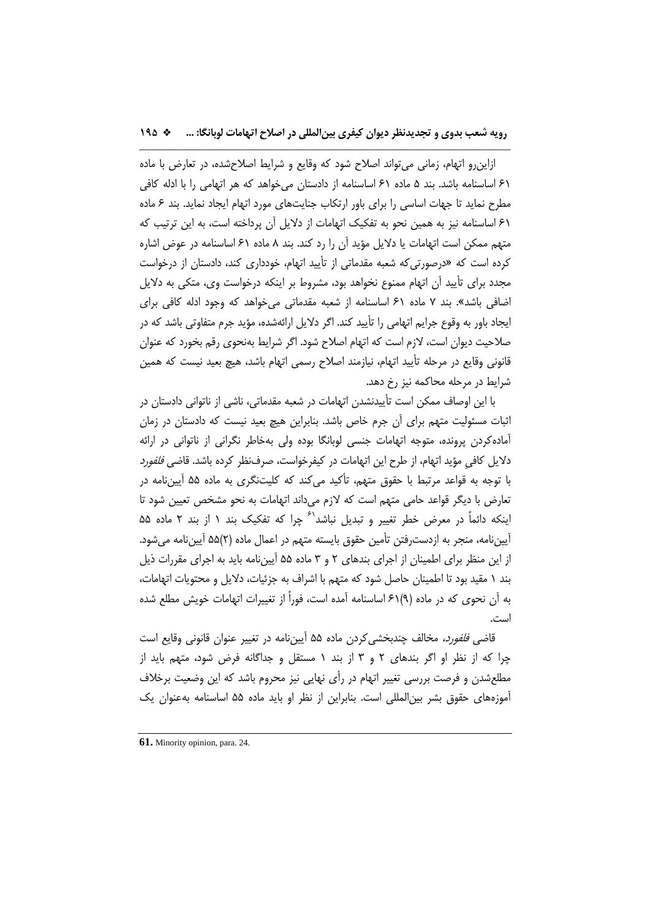ازاينرو اتهام، زماني ميتواند اصلاح شود كه وقايع و شرايط اصلاحشده، در تعارض با ماده 61 اساسنامه باشد. بند 5 ماده 61 اساسنامه از دادستان ميخواهد كه هر اتهامي را با ادله كافي مطرح نمايد تا جهات اساسي را براي باور ارتكاب جنايتهاي مورد اتهام ايجاد نمايد. بند 6 ماده 61 اساسنامه نيز به همين نحو به تفكيك اتهامات از دلايل آن پرداخته است، به اين ترتيب كه متهم ممكن است اتهامات يا دلايل مؤيد آن را رد كند. بند 8 ماده 61 اساسنامه در عوض اشاره كرده است كه «درصورتيكه شعبه مقدماتي از تأييد اتهام، خودداري كند، دادستان از درخواست مجدد براي تأييد آن اتهام ممنوع نخواهد بود، مشروط بر اينكه درخواست وي، متكي به دلايل اضافي باشد». بند 7 ماده 61 اساسنامه از شعبه مقدماتي ميخواهد كه وجود ادله كافي براي ايجاد باور به وقوع جرايم اتهامي را تأييد كند. اگر دلايل ارائهشده، مؤيد جرم متفاوتي باشد كه در صلاحيت ديوان است، لازم است كه اتهام اصلاح شود. اگر شرايط بهنحوي رقم بخورد كه عنوان قانوني وقايع در مرحله تأييد اتهام، نيازمند اصلاح رسمي اتهام باشد، هيچ بعيد نيست كه همين شرايط در مرحله محاكمه نيز رخ دهد.

با اين اوصاف ممكن است تأييدنشدن اتهامات در شعبه مقدماتي، ناشي از ناتواني دادستان در اثبات مسئوليت متهم براي آن جرم خاص باشد. بنابراين هيچ بعيد نيست كه دادستان در زمان آمادهكردن پرونده، متوجه اتهامات جنسي لوبانگا بوده ولي بهخاطر نگراني از ناتواني در ارائه دلايل كافيِ مؤيد اتهام، از طرح اين اتهامات در كيفرخواست، صرفنظر كرده باشد. قاضي فلفورد با توجه به قواعد مرتبط با حقوق متهم، تأكيد ميكند كه كليتنگري به ماده 55 آييننامه در تعارض با ديگر قواعد حامي متهم است كه لازم ميداند اتهامات به نحو مشخص تعيين شود تا اینكه دائماً در معرض خطر تغییر و تبدیل نباشد<sup>۶۱</sup> چرا كه تفكیک بند ۱ از بند ۲ ماده ۵۵ آييننامه، منجر به ازدسترفتن تأمين حقوق بايسته متهم در اعمال ماده (2)55 آييننامه ميشود. از اين منظر براي اطمينان از اجراي بندهاي 2 و 3 ماده 55 آييننامه بايد به اجراي مقررات ذيل بند 1 مقيد بود تا اطمينان حاصل شود كه متهم با اشراف به جزئيات، دلايل و محتويات اتهامات، به آن نحوي كه در ماده (9)61 اساسنامه آمده است، فوراً از تغييرات اتهامات خويش مطلع شده است.

قاض*ي فلفورد،* مخالف چندبخشي كردن ماده ۵۵ آييننامه در تغيير عنوان قانوني وقايع است چرا كه از نظر او اگر بندهاي 2 و 3 از بند 1 مستقل و جداگانه فرض شود، متهم بايد از مطلعشدن و فرصت بررسي تغيير اتهام در رأي نهايي نيز محروم باشد كه اين وضعيت برخلاف آموزههاي حقوق بشر بينالمللي است. بنابراين از نظر او بايد ماده 55 اساسنامه بهعنوان يك

**<sup>61.</sup>** Minority opinion, para. 24.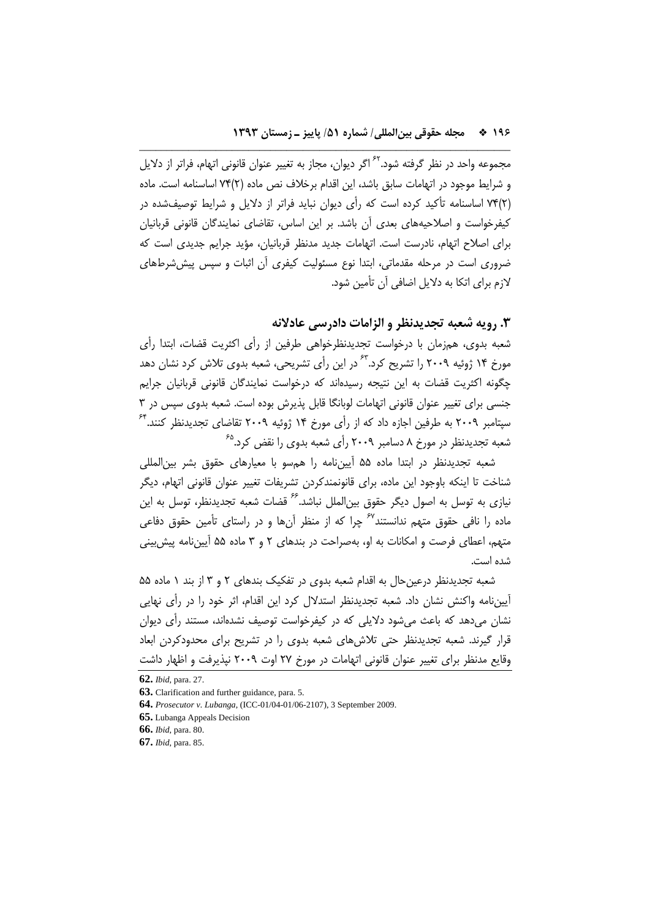مجموعه واحد در نظر گرفته شود.<sup>۶۲</sup> اگر ديوان، مجاز به تغيير عنوان قانوني اتهام، فراتر از دلايل و شرايط موجود در اتهامات سابق باشد، اين اقدام برخلاف نص ماده (2)74 اساسنامه است. ماده (2)74 اساسنامه تأكيد كرده است كه رأي ديوان نبايد فراتر از دلايل و شرايط توصيفشده در كيفرخواست و اصلاحيههاي بعدي آن باشد. بر اين اساس، تقاضاي نمايندگان قانوني قربانيان براي اصلاح اتهام، نادرست است. اتهامات جديد مدنظر قربانيان، مؤيد جرايم جديدي است كه ضروري است در مرحله مقدماتي، ابتدا نوع مسئوليت كيفري آن اثبات و سپس پيششرطهاي لازم براي اتكا به دلايل اضافي آن تأمين شود.

\_\_\_\_\_\_\_\_\_\_\_\_\_\_\_\_\_\_\_\_\_\_\_\_\_\_\_\_\_\_\_\_\_\_\_\_\_\_\_\_\_\_\_\_\_\_\_\_\_\_\_\_\_\_\_\_\_\_\_\_\_\_\_\_\_\_\_\_

# **.3 رويه شعبه تجديدنظر و الزامات دادرسي عادلانه**

شعبه بدوي، همزمان با درخواست تجديدنظرخواهي طرفين از رأي اكثريت قضات، ابتدا رأي مورخ ۱۴ ژوئيه ۲۰۰۹ را تشريح كرد.<sup>۶۳</sup> در اين رأى تشريحى، شعبه بدوى تلاش كرد نشان دهد چگونه اكثريت قضات به اين نتيجه رسيدهاند كه درخواست نمايندگان قانوني قربانيان جرايم جنسي براي تغيير عنوان قانوني اتهامات لوبانگا قابل پذيرش بوده است. شعبه بدوي سپس در 3  $^{\mathfrak{F}}$  سپتامبر ۲۰۰۹ به طرفين اجازه داد كه از رأى مورخ ۱۴ ژوئيه ۲۰۰۹ تقاضاى تجديدنظر كنند. <sup>65</sup> شعبه تجديدنظر در مورخ 8 دسامبر 2009 رأي شعبه بدوي را نقض كرد.

شعبه تجديدنظر در ابتدا ماده 55 آييننامه را همسو با معيارهاي حقوق بشر بينالمللي شناخت تا اينكه باوجود اين ماده، براي قانونمندكردن تشريفات تغيير عنوان قانوني اتهام، ديگر نيازي به توسل به اصول ديگر حقوق بين|لملل نباشد.<sup>26</sup> قضات شعبه تجديدنظر، توسل به اين ماده را نافي حقوق متهم ندانستند<sup>67</sup> چرا كه از منظر آنها و در راستاي تأمين حقوق دفاعي متهم، اعطاي فرصت و امكانات به او، بهصراحت در بندهاي 2 و 3 ماده 55 آييننامه پيشبيني شده است.

شعبه تجديدنظر درعينحال به اقدام شعبه بدوي در تفكيك بندهاي 2 و 3 از بند 1 ماده 55 آييننامه واكنش نشان داد. شعبه تجديدنظر استدلال كرد اين اقدام، اثر خود را در رأي نهايي نشان ميدهد كه باعث ميشود دلايلي كه در كيفرخواست توصيف نشدهاند، مستند رأي ديوان قرار گيرند. شعبه تجديدنظر حتي تلاشهاي شعبه بدوي را در تشريح براي محدودكردن ابعاد وقايع مدنظر براي تغيير عنوان قانوني اتهامات در مورخ 27 اوت 2009 نپذيرفت و اظهار داشت

**<sup>62.</sup>** *Ibid*, para. 27.

**<sup>63.</sup>** Clarification and further guidance, para. 5.

**<sup>64.</sup>** *Prosecutor v. Lubanga*, (ICC-01/04-01/06-2107), 3 September 2009.

**<sup>65.</sup>** Lubanga Appeals Decision

**<sup>66.</sup>** *Ibid*, para. 80.

**<sup>67.</sup>** *Ibid*, para. 85.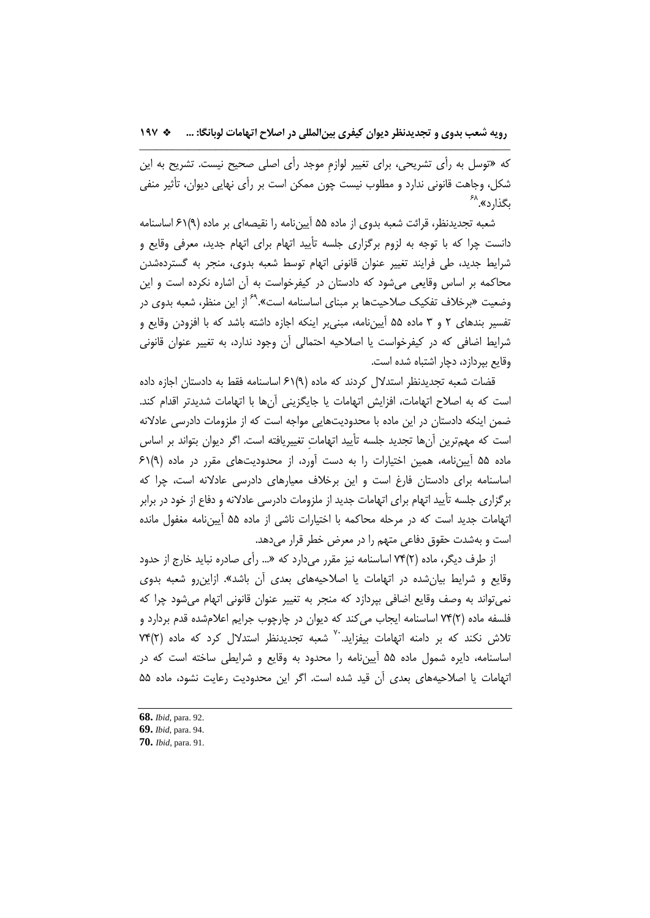كه «توسل به رأي تشريحي، براي تغيير لوازمِ موجد رأي اصلي صحيح نيست. تشريح به اين شكل، وجاهت قانوني ندارد و مطلوب نيست چون ممكن است بر رأي نهايي ديوان، تأثير منفي <sup>68</sup> بگذارد».

شعبه تجديدنظر، قرائت شعبه بدوي از ماده 55 آييننامه را نقيصهاي بر ماده (9)61 اساسنامه دانست چرا كه با توجه به لزوم برگزاري جلسه تأييد اتهام براي اتهام جديد، معرفي وقايع و شرايط جديد، طي فرايند تغيير عنوان قانوني اتهام توسط شعبه بدوي، منجر به گستردهشدن محاكمه بر اساس وقايعي ميشود كه دادستان در كيفرخواست به آن اشاره نكرده است و اين وضعيت «برخلاف تفكيک صلاحيتها بر مبناى اساسنامه است».<sup>۶۹</sup> از اين منظر، شعبه بدوى در تفسير بندهاي 2 و 3 ماده 55 آييننامه، مبنيبر اينكه اجازه داشته باشد كه با افزودن وقايع و شرايط اضافي كه در كيفرخواست يا اصلاحيه احتمالي آن وجود ندارد، به تغيير عنوان قانوني وقايع بپردازد، دچار اشتباه شده است.

قضات شعبه تجديدنظر استدلال كردند كه ماده (9)61 اساسنامه فقط به دادستان اجازه داده است كه به اصلاح اتهامات، افزايش اتهامات يا جايگزيني آنها با اتهامات شديدتر اقدام كند. ضمن اينكه دادستان در اين ماده با محدوديتهايي مواجه است كه از ملزومات دادرسي عادلانه است كه مهمترين آنها تجديد جلسه تأييد اتهاماتِ تغييريافته است. اگر ديوان بتواند بر اساس ماده 55 آييننامه، همين اختيارات را به دست آورد، از محدوديتهاي مقرر در ماده (9)61 اساسنامه براي دادستان فارغ است و اين برخلاف معيارهاي دادرسي عادلانه است، چرا كه برگزاري جلسه تأييد اتهام براي اتهامات جديد از ملزومات دادرسي عادلانه و دفاع از خود در برابر اتهامات جديد است كه در مرحله محاكمه با اختيارات ناشي از ماده 55 آييننامه مغفول مانده است و بهشدت حقوق دفاعي متهم را در معرض خطر قرار ميدهد.

از طرف ديگر، ماده (2)74 اساسنامه نيز مقرر ميدارد كه «... رأي صادره نبايد خارج از حدود وقايع و شرايط بيانشده در اتهامات يا اصلاحيههاي بعدي آن باشد». ازاينرو شعبه بدوي نميتواند به وصف وقايع اضافي بپردازد كه منجر به تغيير عنوان قانوني اتهام ميشود چرا كه فلسفه ماده (2)74 اساسنامه ايجاب ميكند كه ديوان در چارچوب جرايم اعلامشده قدم بردارد و تلاش نكند كه بر دامنه اتهامات ببفزايد.<sup>٧٠</sup> شعبه تجديدنظر استدلال كرد كه ماده (٢)٧۴ اساسنامه، دايره شمول ماده 55 آييننامه را محدود به وقايع و شرايطي ساخته است كه در اتهامات يا اصلاحيههاي بعدي آن قيد شده است. اگر اين محدوديت رعايت نشود، ماده 55

**<sup>68.</sup>** *Ibid*, para. 92.

**<sup>69.</sup>** *Ibid*, para. 94.

**<sup>70.</sup>** *Ibid*, para. 91.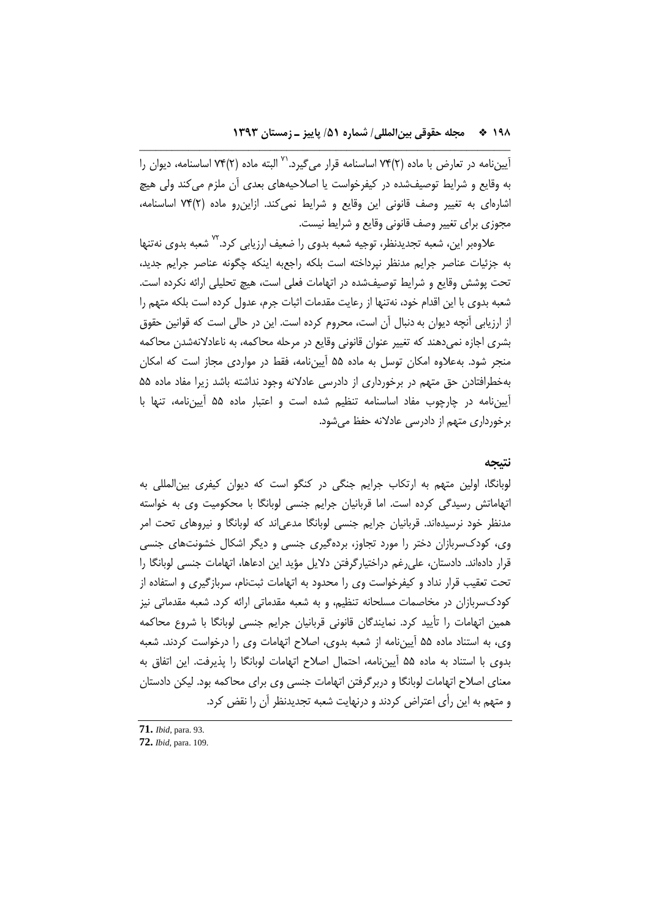اً است ماده در تعارض با ماده (٢)٧۴ اساسنامه قرار میگیرد.<sup>۷۰</sup> البته ماده (٢)٧۴ اساسنامه، دیوان را به وقايع و شرايط توصيفشده در كيفرخواست يا اصلاحيههاي بعدي آن ملزم ميكند ولي هيچ اشارهاي به تغيير وصف قانوني اين وقايع و شرايط نميكند. ازاينرو ماده (2)74 اساسنامه، مجوزي براي تغيير وصف قانوني وقايع و شرايط نيست.

\_\_\_\_\_\_\_\_\_\_\_\_\_\_\_\_\_\_\_\_\_\_\_\_\_\_\_\_\_\_\_\_\_\_\_\_\_\_\_\_\_\_\_\_\_\_\_\_\_\_\_\_\_\_\_\_\_\_\_\_\_\_\_\_\_\_\_\_

علاوهبر اين، شعبه تجديدنظر، توجيه شعبه بدوي را ضعيف ارزيابي كرد.'`` شعبه بدوي نهتنها به جزئيات عناصر جرايم مدنظر نپرداخته است بلكه راجعبه اينكه چگونه عناصر جرايم جديد، تحت پوشش وقايع و شرايط توصيفشده در اتهامات فعلي است، هيچ تحليلي ارائه نكرده است. شعبه بدوي با اين اقدام خود، نهتنها از رعايت مقدمات اثبات جرم، عدول كرده است بلكه متهم را از ارزيابي آنچه ديوان بهدنبال آن است، محروم كرده است. اين در حالي است كه قوانين حقوق بشري اجازه نميدهند كه تغيير عنوان قانوني وقايع در مرحله محاكمه، به ناعادلانهشدن محاكمه منجر شود. بهعلاوه امكان توسل به ماده 55 آييننامه، فقط در مواردي مجاز است كه امكان بهخطرافتادن حق متهم در برخورداري از دادرسي عادلانه وجود نداشته باشد زيرا مفاد ماده 55 آييننامه در چارچوب مفاد اساسنامه تنظيم شده است و اعتبار ماده 55 آييننامه، تنها با برخورداري متهم از دادرسي عادلانه حفظ ميشود.

## **نتيجه**

لوبانگا، اولين متهم به ارتكاب جرايم جنگي در كنگو است كه ديوان كيفري بينالمللي به اتهاماتش رسيدگي كرده است. اما قربانيان جرايم جنسي لوبانگا با محكوميت وي به خواسته مدنظر خود نرسيدهاند. قربانيان جرايم جنسي لوبانگا مدعياند كه لوبانگا و نيروهاي تحت امر وي، كودكسربازان دختر را مورد تجاوز، بردهگيري جنسي و ديگر اشكال خشونتهاي جنسي قرار دادهاند. دادستان، عليرغم دراختيارگرفتن دلايل مؤيد اين ادعاها، اتهامات جنسي لوبانگا را تحت تعقيب قرار نداد و كيفرخواست وي را محدود به اتهامات ثبتنام، سربازگيري و استفاده از كودكسربازان در مخاصمات مسلحانه تنظيم، و به شعبه مقدماتي ارائه كرد. شعبه مقدماتي نيز همين اتهامات را تأييد كرد. نمايندگان قانوني قربانيان جرايم جنسي لوبانگا با شروع محاكمه وي، به استناد ماده 55 آييننامه از شعبه بدوي، اصلاح اتهامات وي را درخواست كردند. شعبه بدوي با استناد به ماده 55 آييننامه، احتمال اصلاح اتهامات لوبانگا را پذيرفت. اين اتفاق به معناي اصلاح اتهامات لوبانگا و دربرگرفتن اتهامات جنسي وي براي محاكمه بود. ليكن دادستان و متهم به اين رأي اعتراض كردند و درنهايت شعبه تجديدنظر آن را نقض كرد.

- **71.** *Ibid*, para. 93.
- **72.** *Ibid*, para. 109.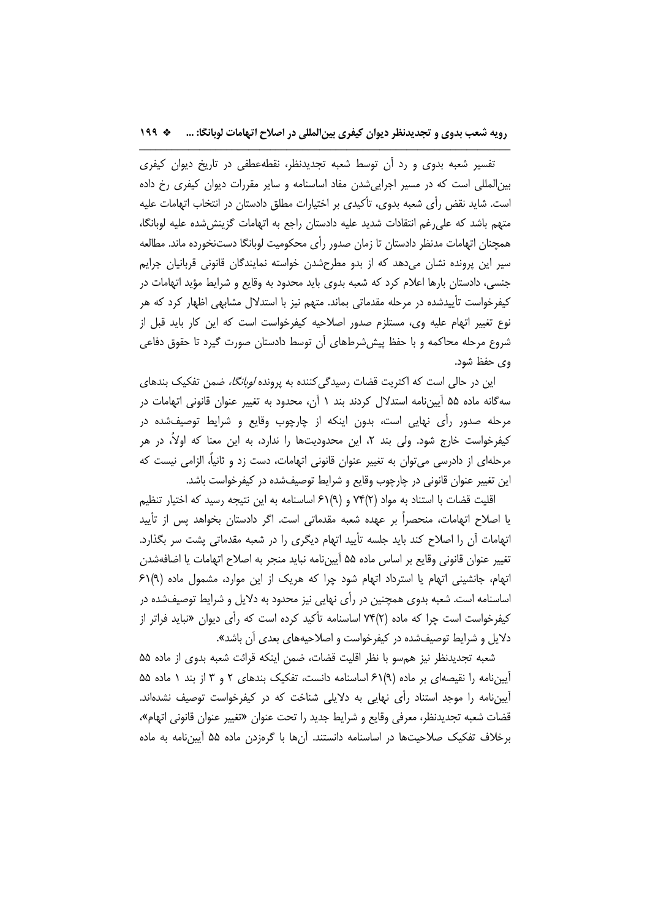تفسير شعبه بدوي و رد آن توسط شعبه تجديدنظر، نقطهعطفي در تاريخ ديوان كيفري بينالمللي است كه در مسير اجراييشدن مفاد اساسنامه و ساير مقررات ديوان كيفري رخ داده است. شايد نقض رأي شعبه بدوي، تأكيدي بر اختيارات مطلق دادستان در انتخاب اتهامات عليه متهم باشد كه عليرغم انتقادات شديد عليه دادستان راجع به اتهامات گزينششده عليه لوبانگا، همچنان اتهامات مدنظر دادستان تا زمان صدور رأي محكوميت لوبانگا دستنخورده ماند. مطالعه سير اين پرونده نشان ميدهد كه از بدو مطرحشدن خواسته نمايندگان قانوني قربانيان جرايم جنسي، دادستان بارها اعلام كرد كه شعبه بدوي بايد محدود به وقايع و شرايط مؤيد اتهامات در كيفرخواست تأييدشده در مرحله مقدماتي بماند. متهم نيز با استدلال مشابهي اظهار كرد كه هر نوع تغيير اتهام عليه وي، مستلزم صدور اصلاحيه كيفرخواست است كه اين كار بايد قبل از شروع مرحله محاكمه و با حفظ پيششرطهاي آن توسط دادستان صورت گيرد تا حقوق دفاعي وي حفظ شود.

اين در حالي است كه اكثريت قضات رسيدگي كننده به پرونده *لوبانگا،* ضمن تفكيك بندهاي سهگانه ماده 55 آييننامه استدلال كردند بند 1 آن، محدود به تغيير عنوان قانوني اتهامات در مرحله صدور رأي نهايي است، بدون اينكه از چارچوب وقايع و شرايط توصيفشده در كيفرخواست خارج شود. ولي بند ٢، اين محدوديتها را ندارد، به اين معنا كه اولاً، در هر مرحلهاي از دادرسي ميتوان به تغيير عنوان قانوني اتهامات، دست زد و ثانيا،ً الزامي نيست كه اين تغيير عنوان قانوني در چارچوب وقايع و شرايط توصيفشده در كيفرخواست باشد.

اقليت قضات با استناد به مواد (2)74 و (9)61 اساسنامه به اين نتيجه رسيد كه اختيار تنظيم يا اصلاح اتهامات، منحصراً بر عهده شعبه مقدماتي است. اگر دادستان بخواهد پس از تأييد اتهامات آن را اصلاح كند بايد جلسه تأييد اتهام ديگري را در شعبه مقدماتي پشت سر بگذارد. تغيير عنوان قانوني وقايع بر اساس ماده 55 آييننامه نبايد منجر به اصلاح اتهامات يا اضافهشدن اتهام، جانشيني اتهام يا استرداد اتهام شود چرا كه هريك از اين موارد، مشمول ماده (9)61 اساسنامه است. شعبه بدوي همچنين در رأي نهايي نيز محدود به دلايل و شرايط توصيفشده در كيفرخواست است چرا كه ماده (2)74 اساسنامه تأكيد كرده است كه رأي ديوان «نبايد فراتر از دلايل و شرايط توصيفشده در كيفرخواست و اصلاحيههاي بعدي آن باشد».

شعبه تجديدنظر نيز همسو با نظر اقليت قضات، ضمن اينكه قرائت شعبه بدوي از ماده 55 آييننامه را نقيصهاي بر ماده (9)61 اساسنامه دانست، تفكيك بندهاي 2 و 3 از بند 1 ماده 55 آييننامه را موجد استناد رأي نهايي به دلايلي شناخت كه در كيفرخواست توصيف نشدهاند. قضات شعبه تجديدنظر، معرفي وقايع و شرايط جديد را تحت عنوان «تغيير عنوان قانوني اتهام»، برخلاف تفكيك صلاحيتها در اساسنامه دانستند. آنها با گرهزدن ماده 55 آييننامه به ماده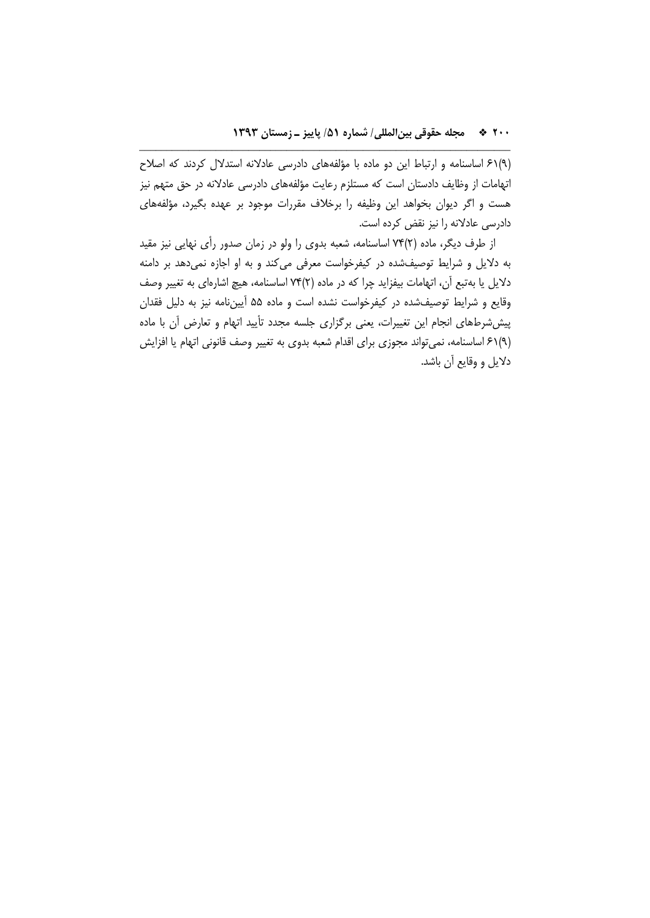(9)61 اساسنامه و ارتباط اين دو ماده با مؤلفههاي دادرسي عادلانه استدلال كردند كه اصلاح اتهامات از وظايف دادستان است كه مستلزم رعايت مؤلفههاي دادرسي عادلانه در حق متهم نيز هست و اگر ديوان بخواهد اين وظيفه را برخلاف مقررات موجود بر عهده بگيرد، مؤلفههاي دادرسي عادلانه را نيز نقض كرده است.

\_\_\_\_\_\_\_\_\_\_\_\_\_\_\_\_\_\_\_\_\_\_\_\_\_\_\_\_\_\_\_\_\_\_\_\_\_\_\_\_\_\_\_\_\_\_\_\_\_\_\_\_\_\_\_\_\_\_\_\_\_\_\_\_\_\_\_\_

از طرف ديگر، ماده (2)74 اساسنامه، شعبه بدوي را ولو در زمان صدور رأي نهايي نيز مقيد به دلايل و شرايط توصيفشده در كيفرخواست معرفي ميكند و به او اجازه نميدهد بر دامنه دلايل يا بهتبع آن، اتهامات بيفزايد چرا كه در ماده (2)74 اساسنامه، هيچ اشارهاي به تغيير وصف وقايع و شرايط توصيفشده در كيفرخواست نشده است و ماده 55 آييننامه نيز به دليل فقدان پيششرطهاي انجام اين تغييرات، يعني برگزاري جلسه مجدد تأييد اتهام و تعارض آن با ماده (9)61 اساسنامه، نميتواند مجوزي براي اقدام شعبه بدوي به تغيير وصف قانوني اتهام يا افزايش دلايل و وقايع آن باشد.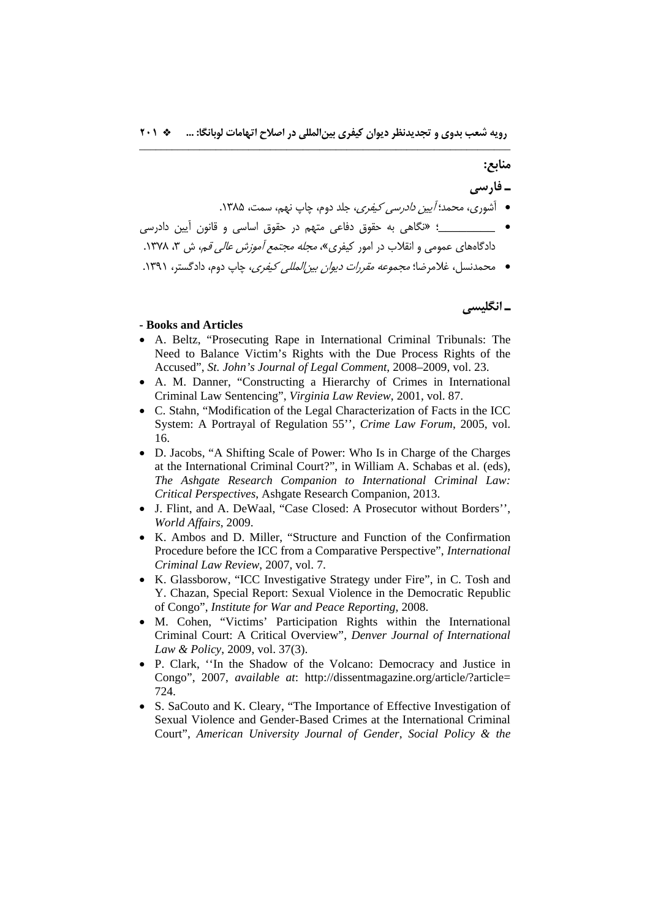# **منابع:**

**ـ فارسي** 

● آشوري، محمد؛ *آيين دادرسي كيفري*، جلد دوم، چاپ نهم، سمت، ۱۳۸۵.

\_\_\_\_\_\_\_\_ ؛ «نگاهي به حقوق دفاعي متهم در حقوق اساسي و قانون آيين دادرسي دادگاههاي عمومي و انقلاب در امور كيفري»، *محله محتمع آموزش عالي قم*، ش ۳، ۱۳۷۸.

• محمدنسل، غلامرضا؛ *مجموعه مقررات ديوان بين المللي كيفري*، چاپ دوم، دادگستر، ١٣٩١.

**ـ انگليسي**

### **- Books and Articles**

- A. Beltz, "Prosecuting Rape in International Criminal Tribunals: The Need to Balance Victim's Rights with the Due Process Rights of the Accused", *St. John's Journal of Legal Comment*, 2008–2009, vol. 23.
- A. M. Danner, "Constructing a Hierarchy of Crimes in International Criminal Law Sentencing", *Virginia Law Review*, 2001, vol. 87.
- C. Stahn, "Modification of the Legal Characterization of Facts in the ICC System: A Portrayal of Regulation 55'', *Crime Law Forum*, 2005, vol. 16.
- D. Jacobs, "A Shifting Scale of Power: Who Is in Charge of the Charges at the International Criminal Court?", in William A. Schabas et al. (eds), *The Ashgate Research Companion to International Criminal Law: Critical Perspectives*, Ashgate Research Companion, 2013.
- J. Flint, and A. DeWaal, "Case Closed: A Prosecutor without Borders'', *World Affairs*, 2009.
- K. Ambos and D. Miller, "Structure and Function of the Confirmation Procedure before the ICC from a Comparative Perspective", *International Criminal Law Review*, 2007, vol. 7.
- K. Glassborow, "ICC Investigative Strategy under Fire", in C. Tosh and Y. Chazan, Special Report: Sexual Violence in the Democratic Republic of Congo", *Institute for War and Peace Reporting*, 2008.
- M. Cohen, "Victims' Participation Rights within the International Criminal Court: A Critical Overview", *Denver Journal of International Law & Policy*, 2009, vol. 37(3).
- P. Clark, ''In the Shadow of the Volcano: Democracy and Justice in Congo", 2007, *available at*: http://dissentmagazine.org/article/?article= 724.
- S. SaCouto and K. Cleary, "The Importance of Effective Investigation of Sexual Violence and Gender-Based Crimes at the International Criminal Court", *American University Journal of Gender, Social Policy & the*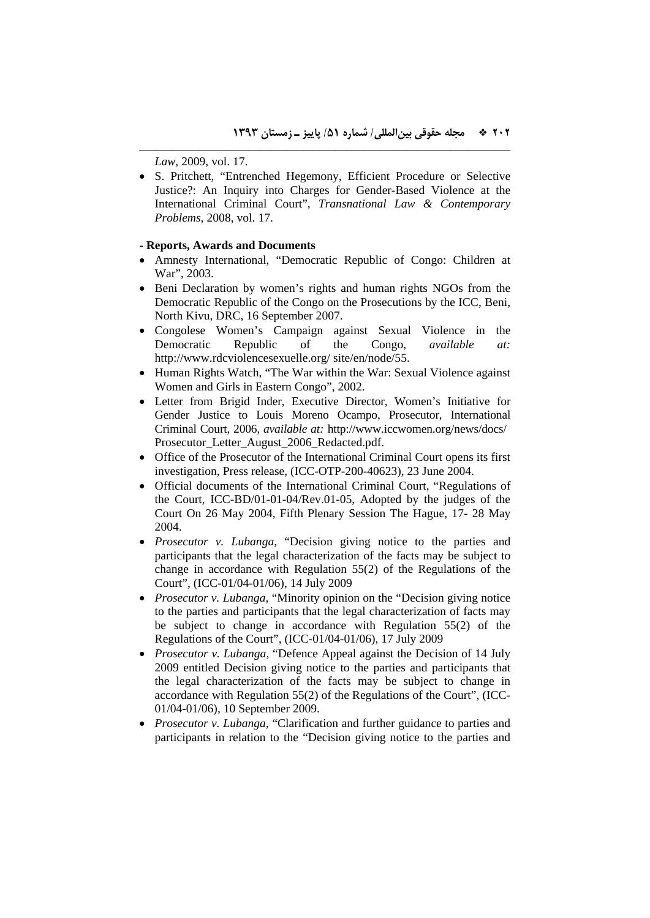*Law*, 2009, vol. 17.

 S. Pritchett, "Entrenched Hegemony, Efficient Procedure or Selective Justice?: An Inquiry into Charges for Gender-Based Violence at the International Criminal Court", *Transnational Law & Contemporary Problems*, 2008, vol. 17.

\_\_\_\_\_\_\_\_\_\_\_\_\_\_\_\_\_\_\_\_\_\_\_\_\_\_\_\_\_\_\_\_\_\_\_\_\_\_\_\_\_\_\_\_\_\_\_\_\_\_\_\_\_\_\_\_\_\_\_\_\_\_\_\_\_\_\_\_

## **- Reports, Awards and Documents**

- Amnesty International, "Democratic Republic of Congo: Children at War", 2003.
- Beni Declaration by women's rights and human rights NGOs from the Democratic Republic of the Congo on the Prosecutions by the ICC, Beni, North Kivu, DRC, 16 September 2007.
- Congolese Women's Campaign against Sexual Violence in the Democratic Republic of the Congo, *available at:* http://www.rdcviolencesexuelle.org/ site/en/node/55.
- Human Rights Watch, "The War within the War: Sexual Violence against Women and Girls in Eastern Congo", 2002.
- Letter from Brigid Inder, Executive Director, Women's Initiative for Gender Justice to Louis Moreno Ocampo, Prosecutor, International Criminal Court, 2006, *available at:* http://www.iccwomen.org/news/docs/ Prosecutor\_Letter\_August\_2006\_Redacted.pdf.
- Office of the Prosecutor of the International Criminal Court opens its first investigation, Press release, (ICC-OTP-200-40623), 23 June 2004.
- Official documents of the International Criminal Court, "Regulations of the Court, ICC-BD/01-01-04/Rev.01-05, Adopted by the judges of the Court On 26 May 2004, Fifth Plenary Session The Hague, 17- 28 May 2004.
- *Prosecutor v. Lubanga*, "Decision giving notice to the parties and participants that the legal characterization of the facts may be subject to change in accordance with Regulation 55(2) of the Regulations of the Court", (ICC-01/04-01/06), 14 July 2009
- *Prosecutor v. Lubanga*, "Minority opinion on the "Decision giving notice to the parties and participants that the legal characterization of facts may be subject to change in accordance with Regulation 55(2) of the Regulations of the Court", (ICC-01/04-01/06), 17 July 2009
- *Prosecutor v. Lubanga*, "Defence Appeal against the Decision of 14 July 2009 entitled Decision giving notice to the parties and participants that the legal characterization of the facts may be subject to change in accordance with Regulation 55(2) of the Regulations of the Court", (ICC-01/04-01/06), 10 September 2009.
- *Prosecutor v. Lubanga*, "Clarification and further guidance to parties and participants in relation to the "Decision giving notice to the parties and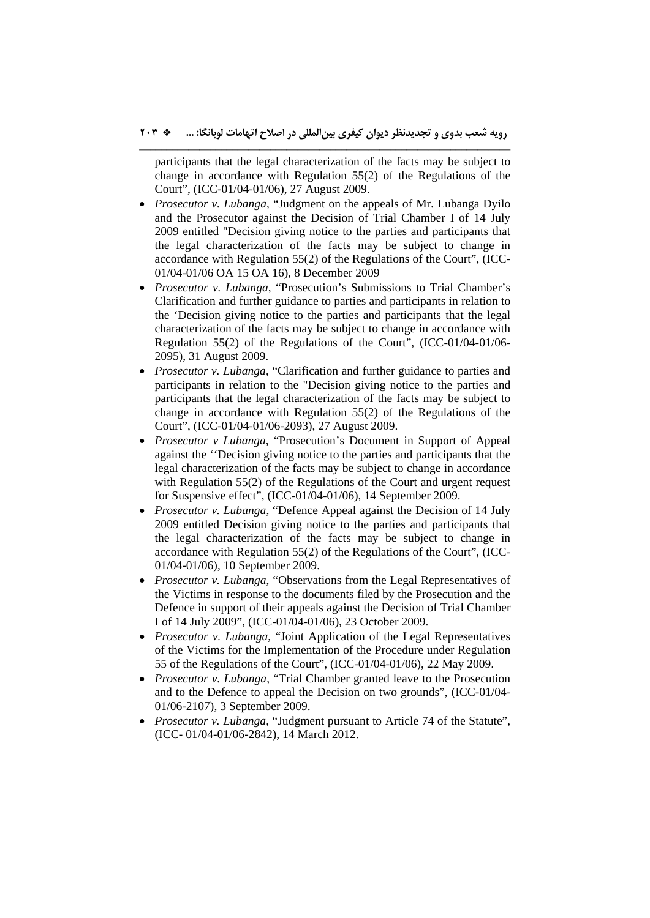participants that the legal characterization of the facts may be subject to change in accordance with Regulation 55(2) of the Regulations of the Court", (ICC-01/04-01/06), 27 August 2009.

- *Prosecutor v. Lubanga*, "Judgment on the appeals of Mr. Lubanga Dyilo and the Prosecutor against the Decision of Trial Chamber I of 14 July 2009 entitled "Decision giving notice to the parties and participants that the legal characterization of the facts may be subject to change in accordance with Regulation 55(2) of the Regulations of the Court", (ICC-01/04-01/06 OA 15 OA 16), 8 December 2009
- *Prosecutor v. Lubanga*, "Prosecution's Submissions to Trial Chamber's Clarification and further guidance to parties and participants in relation to the 'Decision giving notice to the parties and participants that the legal characterization of the facts may be subject to change in accordance with Regulation 55(2) of the Regulations of the Court", (ICC-01/04-01/06- 2095), 31 August 2009.
- *Prosecutor v. Lubanga*, "Clarification and further guidance to parties and participants in relation to the "Decision giving notice to the parties and participants that the legal characterization of the facts may be subject to change in accordance with Regulation 55(2) of the Regulations of the Court", (ICC-01/04-01/06-2093), 27 August 2009.
- *Prosecutor v Lubanga*, "Prosecution's Document in Support of Appeal against the ''Decision giving notice to the parties and participants that the legal characterization of the facts may be subject to change in accordance with Regulation 55(2) of the Regulations of the Court and urgent request for Suspensive effect", (ICC-01/04-01/06), 14 September 2009.
- *Prosecutor v. Lubanga*, "Defence Appeal against the Decision of 14 July 2009 entitled Decision giving notice to the parties and participants that the legal characterization of the facts may be subject to change in accordance with Regulation 55(2) of the Regulations of the Court", (ICC-01/04-01/06), 10 September 2009.
- *Prosecutor v. Lubanga*, "Observations from the Legal Representatives of the Victims in response to the documents filed by the Prosecution and the Defence in support of their appeals against the Decision of Trial Chamber I of 14 July 2009", (ICC-01/04-01/06), 23 October 2009.
- *Prosecutor v. Lubanga*, "Joint Application of the Legal Representatives of the Victims for the Implementation of the Procedure under Regulation 55 of the Regulations of the Court", (ICC-01/04-01/06), 22 May 2009.
- *Prosecutor v. Lubanga*, "Trial Chamber granted leave to the Prosecution and to the Defence to appeal the Decision on two grounds", (ICC-01/04- 01/06-2107), 3 September 2009.
- *Prosecutor v. Lubanga*, "Judgment pursuant to Article 74 of the Statute", (ICC- 01/04-01/06-2842), 14 March 2012.